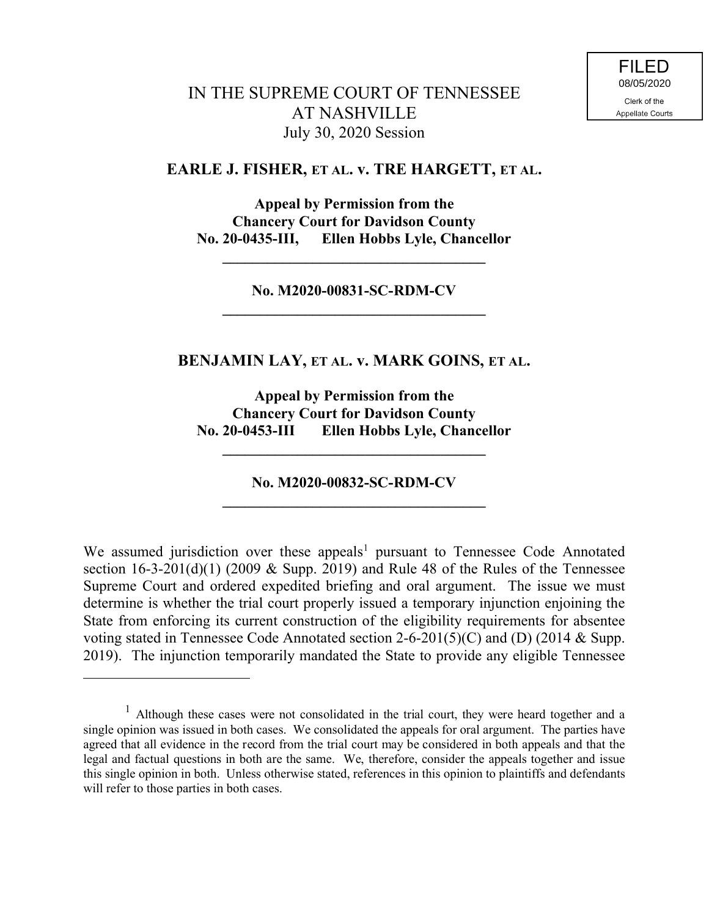# IN THE SUPREME COURT OF TENNESSEE AT NASHVILLE July 30, 2020 Session

#### **EARLE J. FISHER, ET AL. v. TRE HARGETT, ET AL.**

**Appeal by Permission from the Chancery Court for Davidson County No. 20-0435-III, Ellen Hobbs Lyle, Chancellor**

**No. M2020-00831-SC-RDM-CV \_\_\_\_\_\_\_\_\_\_\_\_\_\_\_\_\_\_\_\_\_\_\_\_\_\_\_\_\_\_\_\_\_\_\_**

**\_\_\_\_\_\_\_\_\_\_\_\_\_\_\_\_\_\_\_\_\_\_\_\_\_\_\_\_\_\_\_\_\_\_\_**

## **BENJAMIN LAY, ET AL. v. MARK GOINS, ET AL.**

**Appeal by Permission from the Chancery Court for Davidson County No. 20-0453-III Ellen Hobbs Lyle, Chancellor**

**No. M2020-00832-SC-RDM-CV \_\_\_\_\_\_\_\_\_\_\_\_\_\_\_\_\_\_\_\_\_\_\_\_\_\_\_\_\_\_\_\_\_\_\_**

**\_\_\_\_\_\_\_\_\_\_\_\_\_\_\_\_\_\_\_\_\_\_\_\_\_\_\_\_\_\_\_\_\_\_\_**

We assumed jurisdiction over these appeals<sup>1</sup> pursuant to Tennessee Code Annotated section  $16-3-201(d)(1)$  (2009 & Supp. 2019) and Rule 48 of the Rules of the Tennessee Supreme Court and ordered expedited briefing and oral argument. The issue we must determine is whether the trial court properly issued a temporary injunction enjoining the State from enforcing its current construction of the eligibility requirements for absentee voting stated in Tennessee Code Annotated section 2-6-201(5)(C) and (D) (2014 & Supp. 2019). The injunction temporarily mandated the State to provide any eligible Tennessee

<sup>1</sup> Although these cases were not consolidated in the trial court, they were heard together and a single opinion was issued in both cases. We consolidated the appeals for oral argument. The parties have agreed that all evidence in the record from the trial court may be considered in both appeals and that the legal and factual questions in both are the same. We, therefore, consider the appeals together and issue this single opinion in both. Unless otherwise stated, references in this opinion to plaintiffs and defendants will refer to those parties in both cases.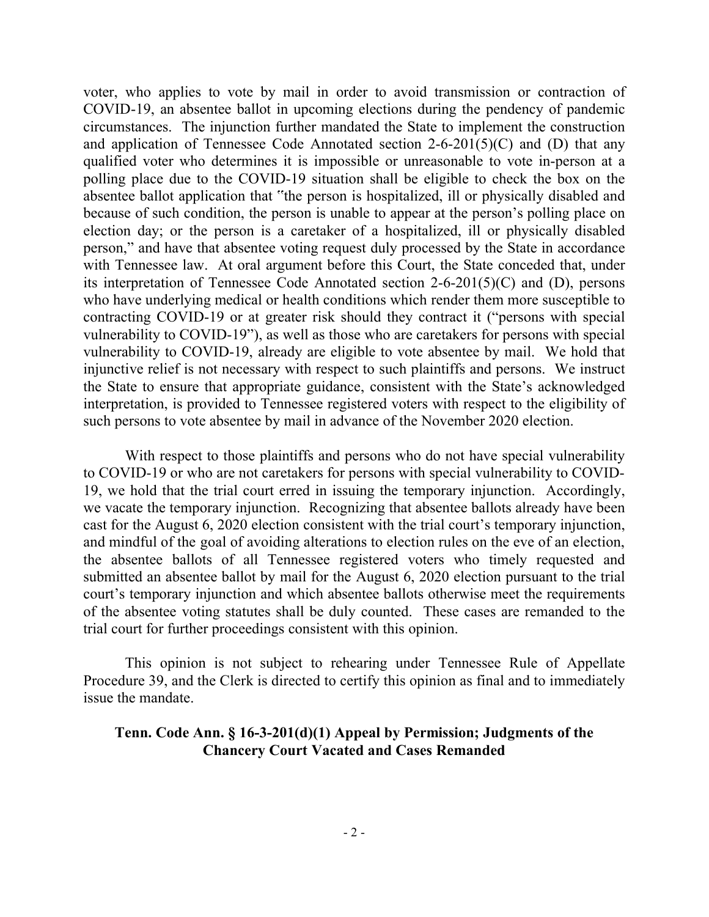voter, who applies to vote by mail in order to avoid transmission or contraction of COVID-19, an absentee ballot in upcoming elections during the pendency of pandemic circumstances. The injunction further mandated the State to implement the construction and application of Tennessee Code Annotated section  $2-6-201(5)(C)$  and (D) that any qualified voter who determines it is impossible or unreasonable to vote in-person at a polling place due to the COVID-19 situation shall be eligible to check the box on the absentee ballot application that "the person is hospitalized, ill or physically disabled and because of such condition, the person is unable to appear at the person's polling place on election day; or the person is a caretaker of a hospitalized, ill or physically disabled person," and have that absentee voting request duly processed by the State in accordance with Tennessee law. At oral argument before this Court, the State conceded that, under its interpretation of Tennessee Code Annotated section 2-6-201(5)(C) and (D), persons who have underlying medical or health conditions which render them more susceptible to contracting COVID-19 or at greater risk should they contract it ("persons with special vulnerability to COVID-19"), as well as those who are caretakers for persons with special vulnerability to COVID-19, already are eligible to vote absentee by mail. We hold that injunctive relief is not necessary with respect to such plaintiffs and persons. We instruct the State to ensure that appropriate guidance, consistent with the State's acknowledged interpretation, is provided to Tennessee registered voters with respect to the eligibility of such persons to vote absentee by mail in advance of the November 2020 election.

With respect to those plaintiffs and persons who do not have special vulnerability to COVID-19 or who are not caretakers for persons with special vulnerability to COVID-19, we hold that the trial court erred in issuing the temporary injunction. Accordingly, we vacate the temporary injunction. Recognizing that absentee ballots already have been cast for the August 6, 2020 election consistent with the trial court's temporary injunction, and mindful of the goal of avoiding alterations to election rules on the eve of an election, the absentee ballots of all Tennessee registered voters who timely requested and submitted an absentee ballot by mail for the August 6, 2020 election pursuant to the trial court's temporary injunction and which absentee ballots otherwise meet the requirements of the absentee voting statutes shall be duly counted. These cases are remanded to the trial court for further proceedings consistent with this opinion.

This opinion is not subject to rehearing under Tennessee Rule of Appellate Procedure 39, and the Clerk is directed to certify this opinion as final and to immediately issue the mandate.

### **Tenn. Code Ann. § 16-3-201(d)(1) Appeal by Permission; Judgments of the Chancery Court Vacated and Cases Remanded**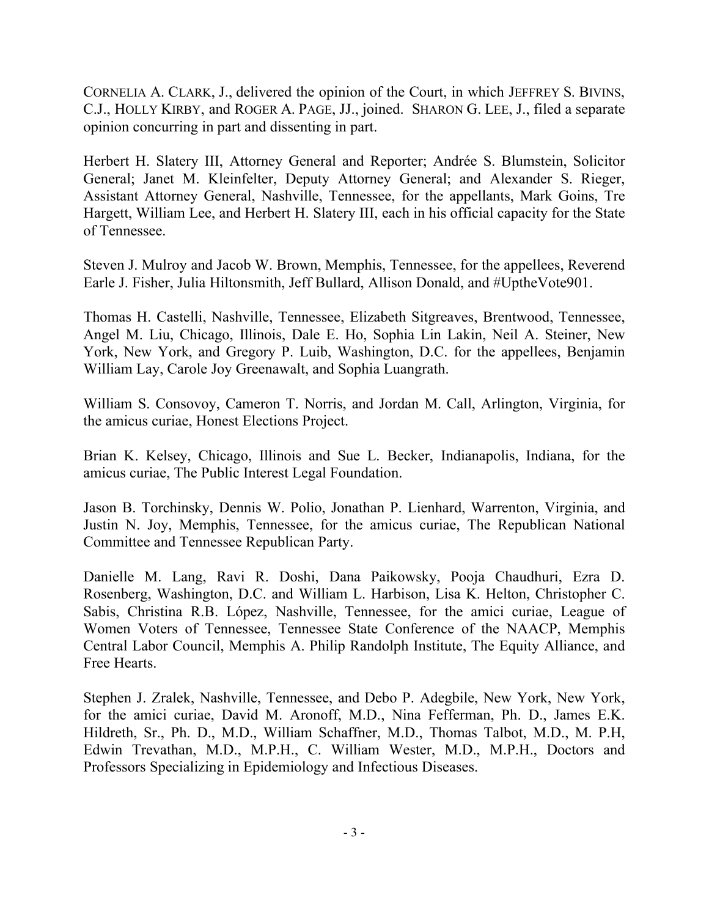CORNELIA A. CLARK, J., delivered the opinion of the Court, in which JEFFREY S. BIVINS, C.J., HOLLY KIRBY, and ROGER A. PAGE, JJ., joined. SHARON G. LEE, J., filed a separate opinion concurring in part and dissenting in part.

Herbert H. Slatery III, Attorney General and Reporter; Andrée S. Blumstein, Solicitor General; Janet M. Kleinfelter, Deputy Attorney General; and Alexander S. Rieger, Assistant Attorney General, Nashville, Tennessee, for the appellants, Mark Goins, Tre Hargett, William Lee, and Herbert H. Slatery III, each in his official capacity for the State of Tennessee.

Steven J. Mulroy and Jacob W. Brown, Memphis, Tennessee, for the appellees, Reverend Earle J. Fisher, Julia Hiltonsmith, Jeff Bullard, Allison Donald, and #UptheVote901.

Thomas H. Castelli, Nashville, Tennessee, Elizabeth Sitgreaves, Brentwood, Tennessee, Angel M. Liu, Chicago, Illinois, Dale E. Ho, Sophia Lin Lakin, Neil A. Steiner, New York, New York, and Gregory P. Luib, Washington, D.C. for the appellees, Benjamin William Lay, Carole Joy Greenawalt, and Sophia Luangrath.

William S. Consovoy, Cameron T. Norris, and Jordan M. Call, Arlington, Virginia, for the amicus curiae, Honest Elections Project.

Brian K. Kelsey, Chicago, Illinois and Sue L. Becker, Indianapolis, Indiana, for the amicus curiae, The Public Interest Legal Foundation.

Jason B. Torchinsky, Dennis W. Polio, Jonathan P. Lienhard, Warrenton, Virginia, and Justin N. Joy, Memphis, Tennessee, for the amicus curiae, The Republican National Committee and Tennessee Republican Party.

Danielle M. Lang, Ravi R. Doshi, Dana Paikowsky, Pooja Chaudhuri, Ezra D. Rosenberg, Washington, D.C. and William L. Harbison, Lisa K. Helton, Christopher C. Sabis, Christina R.B. López, Nashville, Tennessee, for the amici curiae, League of Women Voters of Tennessee, Tennessee State Conference of the NAACP, Memphis Central Labor Council, Memphis A. Philip Randolph Institute, The Equity Alliance, and Free Hearts.

Stephen J. Zralek, Nashville, Tennessee, and Debo P. Adegbile, New York, New York, for the amici curiae, David M. Aronoff, M.D., Nina Fefferman, Ph. D., James E.K. Hildreth, Sr., Ph. D., M.D., William Schaffner, M.D., Thomas Talbot, M.D., M. P.H, Edwin Trevathan, M.D., M.P.H., C. William Wester, M.D., M.P.H., Doctors and Professors Specializing in Epidemiology and Infectious Diseases.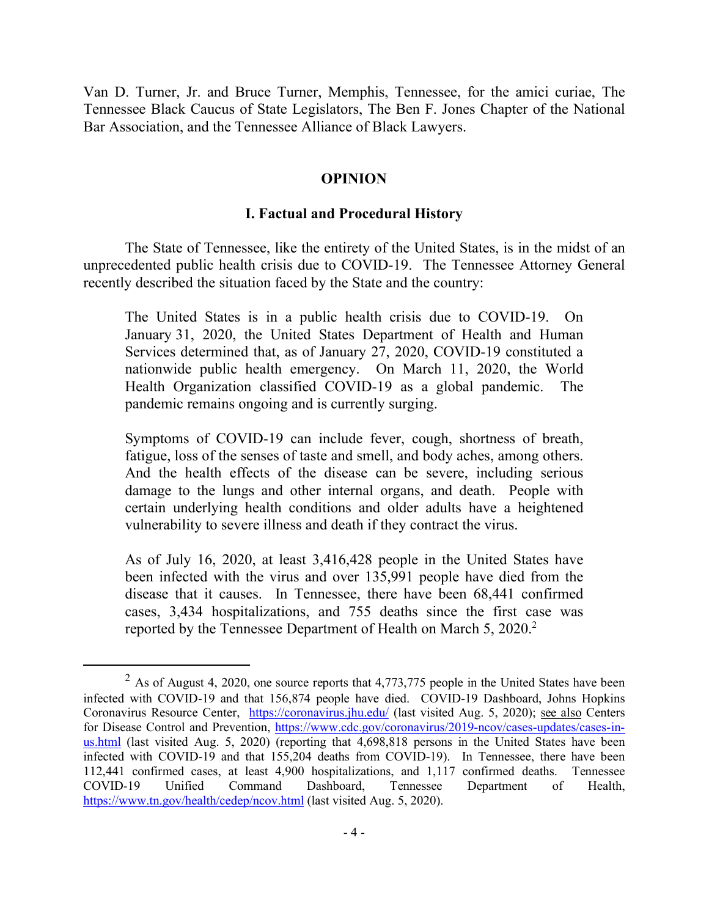Van D. Turner, Jr. and Bruce Turner, Memphis, Tennessee, for the amici curiae, The Tennessee Black Caucus of State Legislators, The Ben F. Jones Chapter of the National Bar Association, and the Tennessee Alliance of Black Lawyers.

#### **OPINION**

#### **I. Factual and Procedural History**

The State of Tennessee, like the entirety of the United States, is in the midst of an unprecedented public health crisis due to COVID-19. The Tennessee Attorney General recently described the situation faced by the State and the country:

The United States is in a public health crisis due to COVID-19. On January 31, 2020, the United States Department of Health and Human Services determined that, as of January 27, 2020, COVID-19 constituted a nationwide public health emergency. On March 11, 2020, the World Health Organization classified COVID-19 as a global pandemic. The pandemic remains ongoing and is currently surging.

Symptoms of COVID-19 can include fever, cough, shortness of breath, fatigue, loss of the senses of taste and smell, and body aches, among others. And the health effects of the disease can be severe, including serious damage to the lungs and other internal organs, and death. People with certain underlying health conditions and older adults have a heightened vulnerability to severe illness and death if they contract the virus.

As of July 16, 2020, at least 3,416,428 people in the United States have been infected with the virus and over 135,991 people have died from the disease that it causes. In Tennessee, there have been 68,441 confirmed cases, 3,434 hospitalizations, and 755 deaths since the first case was reported by the Tennessee Department of Health on March 5, 2020.<sup>2</sup>

 $2$  As of August 4, 2020, one source reports that 4,773,775 people in the United States have been infected with COVID-19 and that 156,874 people have died. COVID-19 Dashboard, Johns Hopkins Coronavirus Resource Center, https://coronavirus.jhu.edu/ (last visited Aug. 5, 2020); see also Centers for Disease Control and Prevention, https://www.cdc.gov/coronavirus/2019-ncov/cases-updates/cases-inus.html (last visited Aug. 5, 2020) (reporting that 4,698,818 persons in the United States have been infected with COVID-19 and that 155,204 deaths from COVID-19). In Tennessee, there have been 112,441 confirmed cases, at least 4,900 hospitalizations, and 1,117 confirmed deaths. Tennessee COVID-19 Unified Command Dashboard, Tennessee Department of Health, https://www.tn.gov/health/cedep/ncov.html (last visited Aug. 5, 2020).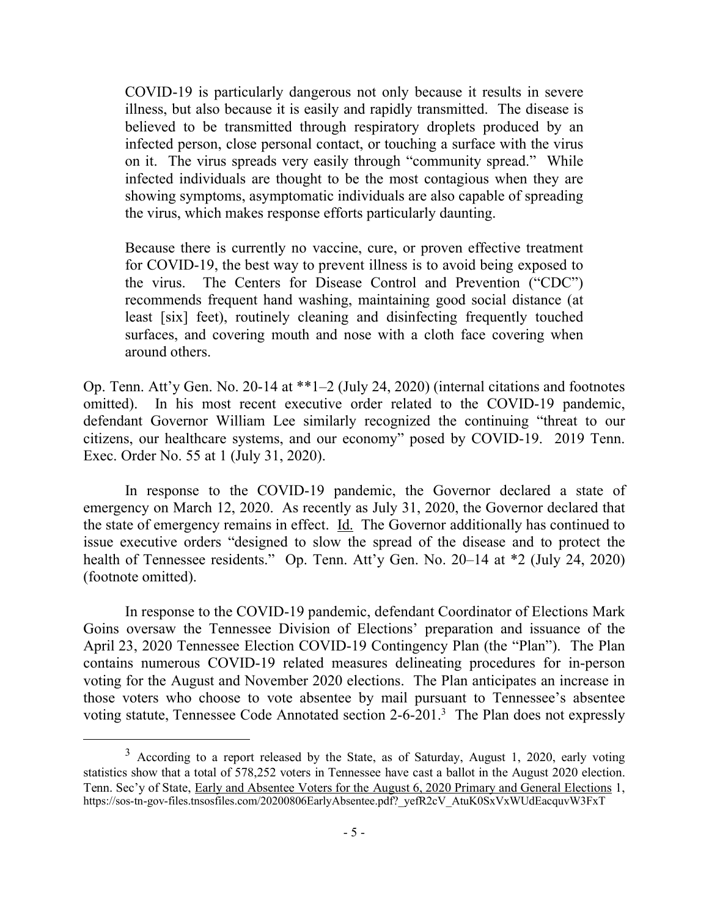COVID-19 is particularly dangerous not only because it results in severe illness, but also because it is easily and rapidly transmitted. The disease is believed to be transmitted through respiratory droplets produced by an infected person, close personal contact, or touching a surface with the virus on it. The virus spreads very easily through "community spread." While infected individuals are thought to be the most contagious when they are showing symptoms, asymptomatic individuals are also capable of spreading the virus, which makes response efforts particularly daunting.

Because there is currently no vaccine, cure, or proven effective treatment for COVID-19, the best way to prevent illness is to avoid being exposed to the virus. The Centers for Disease Control and Prevention ("CDC") recommends frequent hand washing, maintaining good social distance (at least [six] feet), routinely cleaning and disinfecting frequently touched surfaces, and covering mouth and nose with a cloth face covering when around others.

Op. Tenn. Att'y Gen. No. 20-14 at \*\*1–2 (July 24, 2020) (internal citations and footnotes omitted). In his most recent executive order related to the COVID-19 pandemic, defendant Governor William Lee similarly recognized the continuing "threat to our citizens, our healthcare systems, and our economy" posed by COVID-19. 2019 Tenn. Exec. Order No. 55 at 1 (July 31, 2020).

In response to the COVID-19 pandemic, the Governor declared a state of emergency on March 12, 2020. As recently as July 31, 2020, the Governor declared that the state of emergency remains in effect. Id. The Governor additionally has continued to issue executive orders "designed to slow the spread of the disease and to protect the health of Tennessee residents." Op. Tenn. Att'y Gen. No. 20–14 at \*2 (July 24, 2020) (footnote omitted).

In response to the COVID-19 pandemic, defendant Coordinator of Elections Mark Goins oversaw the Tennessee Division of Elections' preparation and issuance of the April 23, 2020 Tennessee Election COVID-19 Contingency Plan (the "Plan"). The Plan contains numerous COVID-19 related measures delineating procedures for in-person voting for the August and November 2020 elections. The Plan anticipates an increase in those voters who choose to vote absentee by mail pursuant to Tennessee's absentee voting statute, Tennessee Code Annotated section 2-6-201.<sup>3</sup> The Plan does not expressly

<sup>&</sup>lt;sup>3</sup> According to a report released by the State, as of Saturday, August 1, 2020, early voting statistics show that a total of 578,252 voters in Tennessee have cast a ballot in the August 2020 election. Tenn. Sec'y of State, Early and Absentee Voters for the August 6, 2020 Primary and General Elections 1, https://sos-tn-gov-files.tnsosfiles.com/20200806EarlyAbsentee.pdf? yefR2cV\_AtuK0SxVxWUdEacquvW3FxT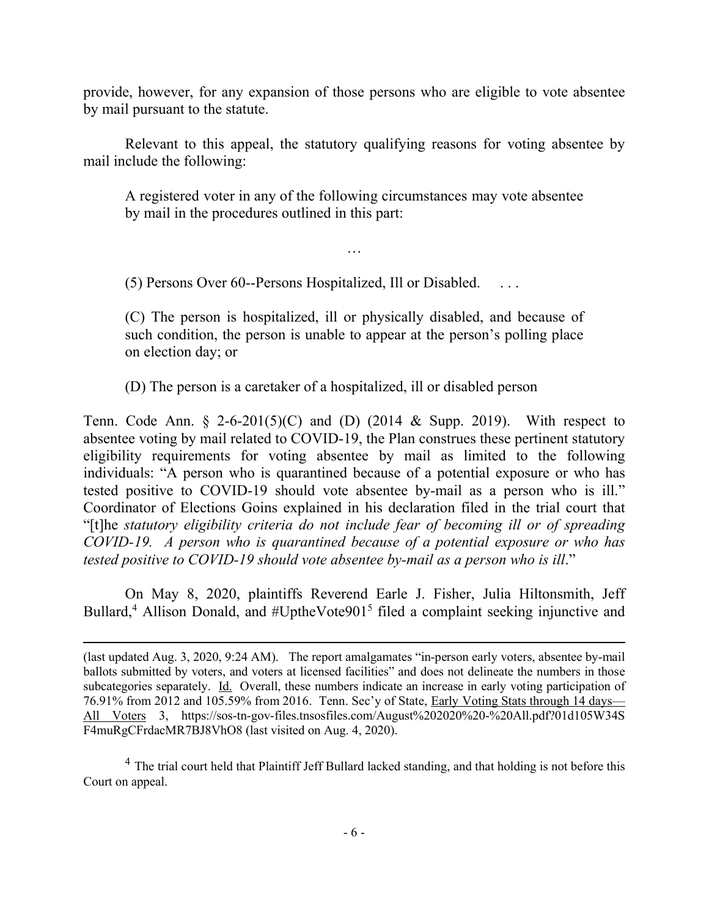provide, however, for any expansion of those persons who are eligible to vote absentee by mail pursuant to the statute.

Relevant to this appeal, the statutory qualifying reasons for voting absentee by mail include the following:

A registered voter in any of the following circumstances may vote absentee by mail in the procedures outlined in this part:

…

 $(5)$  Persons Over 60--Persons Hospitalized, Ill or Disabled.

(C) The person is hospitalized, ill or physically disabled, and because of such condition, the person is unable to appear at the person's polling place on election day; or

(D) The person is a caretaker of a hospitalized, ill or disabled person

Tenn. Code Ann.  $\S$  2-6-201(5)(C) and (D) (2014 & Supp. 2019). With respect to absentee voting by mail related to COVID-19, the Plan construes these pertinent statutory eligibility requirements for voting absentee by mail as limited to the following individuals: "A person who is quarantined because of a potential exposure or who has tested positive to COVID-19 should vote absentee by-mail as a person who is ill." Coordinator of Elections Goins explained in his declaration filed in the trial court that "[t]he *statutory eligibility criteria do not include fear of becoming ill or of spreading COVID-19. A person who is quarantined because of a potential exposure or who has tested positive to COVID-19 should vote absentee by-mail as a person who is ill*."

On May 8, 2020, plaintiffs Reverend Earle J. Fisher, Julia Hiltonsmith, Jeff Bullard,<sup>4</sup> Allison Donald, and #UptheVote901<sup>5</sup> filed a complaint seeking injunctive and

 $\overline{a}$ 

<sup>4</sup> The trial court held that Plaintiff Jeff Bullard lacked standing, and that holding is not before this Court on appeal.

<sup>(</sup>last updated Aug. 3, 2020, 9:24 AM). The report amalgamates "in-person early voters, absentee by-mail ballots submitted by voters, and voters at licensed facilities" and does not delineate the numbers in those subcategories separately. Id. Overall, these numbers indicate an increase in early voting participation of 76.91% from 2012 and 105.59% from 2016. Tenn. Sec'y of State, Early Voting Stats through 14 days— All Voters 3, https://sos-tn-gov-files.tnsosfiles.com/August%202020%20-%20All.pdf?01d105W34S F4muRgCFrdacMR7BJ8VhO8 (last visited on Aug. 4, 2020).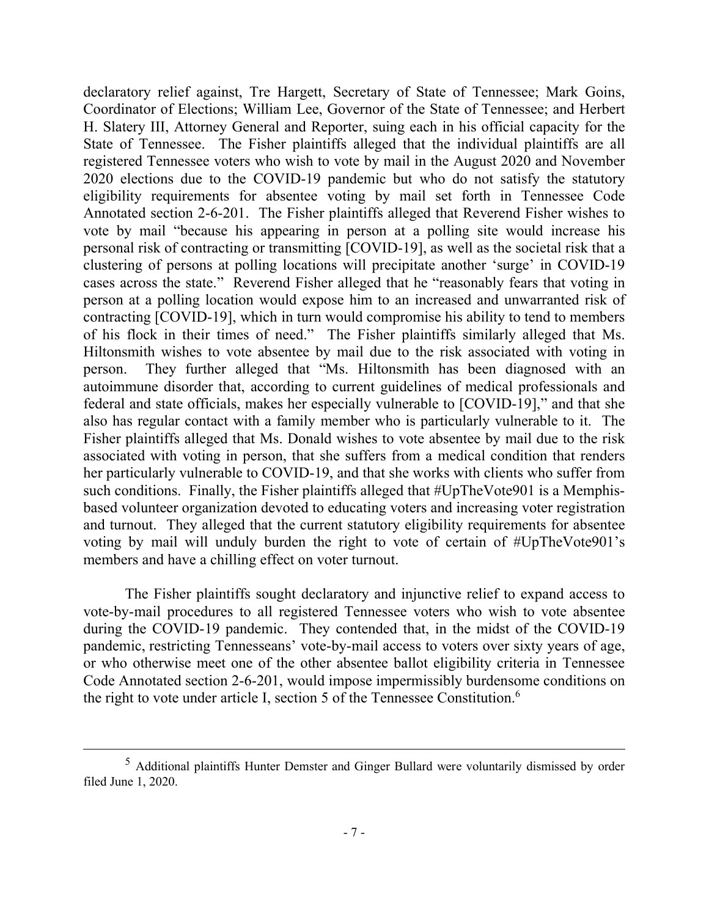declaratory relief against, Tre Hargett, Secretary of State of Tennessee; Mark Goins, Coordinator of Elections; William Lee, Governor of the State of Tennessee; and Herbert H. Slatery III, Attorney General and Reporter, suing each in his official capacity for the State of Tennessee. The Fisher plaintiffs alleged that the individual plaintiffs are all registered Tennessee voters who wish to vote by mail in the August 2020 and November 2020 elections due to the COVID-19 pandemic but who do not satisfy the statutory eligibility requirements for absentee voting by mail set forth in Tennessee Code Annotated section 2-6-201. The Fisher plaintiffs alleged that Reverend Fisher wishes to vote by mail "because his appearing in person at a polling site would increase his personal risk of contracting or transmitting [COVID-19], as well as the societal risk that a clustering of persons at polling locations will precipitate another 'surge' in COVID-19 cases across the state." Reverend Fisher alleged that he "reasonably fears that voting in person at a polling location would expose him to an increased and unwarranted risk of contracting [COVID-19], which in turn would compromise his ability to tend to members of his flock in their times of need." The Fisher plaintiffs similarly alleged that Ms. Hiltonsmith wishes to vote absentee by mail due to the risk associated with voting in person. They further alleged that "Ms. Hiltonsmith has been diagnosed with an autoimmune disorder that, according to current guidelines of medical professionals and federal and state officials, makes her especially vulnerable to [COVID-19]," and that she also has regular contact with a family member who is particularly vulnerable to it. The Fisher plaintiffs alleged that Ms. Donald wishes to vote absentee by mail due to the risk associated with voting in person, that she suffers from a medical condition that renders her particularly vulnerable to COVID-19, and that she works with clients who suffer from such conditions. Finally, the Fisher plaintiffs alleged that #UpTheVote901 is a Memphisbased volunteer organization devoted to educating voters and increasing voter registration and turnout. They alleged that the current statutory eligibility requirements for absentee voting by mail will unduly burden the right to vote of certain of #UpTheVote901's members and have a chilling effect on voter turnout.

The Fisher plaintiffs sought declaratory and injunctive relief to expand access to vote-by-mail procedures to all registered Tennessee voters who wish to vote absentee during the COVID-19 pandemic. They contended that, in the midst of the COVID-19 pandemic, restricting Tennesseans' vote-by-mail access to voters over sixty years of age, or who otherwise meet one of the other absentee ballot eligibility criteria in Tennessee Code Annotated section 2-6-201, would impose impermissibly burdensome conditions on the right to vote under article I, section 5 of the Tennessee Constitution.<sup>6</sup>

<sup>5</sup> Additional plaintiffs Hunter Demster and Ginger Bullard were voluntarily dismissed by order filed June 1, 2020.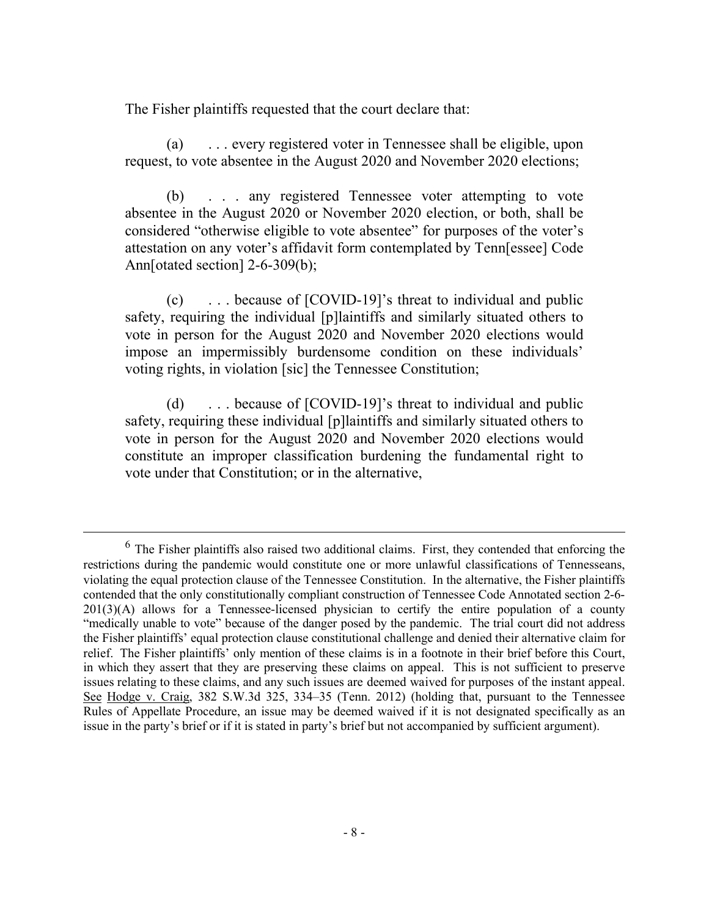The Fisher plaintiffs requested that the court declare that:

(a) . . . every registered voter in Tennessee shall be eligible, upon request, to vote absentee in the August 2020 and November 2020 elections;

(b) . . . any registered Tennessee voter attempting to vote absentee in the August 2020 or November 2020 election, or both, shall be considered "otherwise eligible to vote absentee" for purposes of the voter's attestation on any voter's affidavit form contemplated by Tenn[essee] Code Ann[otated section] 2-6-309(b);

(c) . . . because of [COVID-19]'s threat to individual and public safety, requiring the individual [p]laintiffs and similarly situated others to vote in person for the August 2020 and November 2020 elections would impose an impermissibly burdensome condition on these individuals' voting rights, in violation [sic] the Tennessee Constitution;

(d) . . . because of [COVID-19]'s threat to individual and public safety, requiring these individual [p]laintiffs and similarly situated others to vote in person for the August 2020 and November 2020 elections would constitute an improper classification burdening the fundamental right to vote under that Constitution; or in the alternative,

 $6$  The Fisher plaintiffs also raised two additional claims. First, they contended that enforcing the restrictions during the pandemic would constitute one or more unlawful classifications of Tennesseans, violating the equal protection clause of the Tennessee Constitution. In the alternative, the Fisher plaintiffs contended that the only constitutionally compliant construction of Tennessee Code Annotated section 2-6-  $201(3)(A)$  allows for a Tennessee-licensed physician to certify the entire population of a county "medically unable to vote" because of the danger posed by the pandemic. The trial court did not address the Fisher plaintiffs' equal protection clause constitutional challenge and denied their alternative claim for relief. The Fisher plaintiffs' only mention of these claims is in a footnote in their brief before this Court, in which they assert that they are preserving these claims on appeal. This is not sufficient to preserve issues relating to these claims, and any such issues are deemed waived for purposes of the instant appeal. See Hodge v. Craig, 382 S.W.3d 325, 334–35 (Tenn. 2012) (holding that, pursuant to the Tennessee Rules of Appellate Procedure, an issue may be deemed waived if it is not designated specifically as an issue in the party's brief or if it is stated in party's brief but not accompanied by sufficient argument).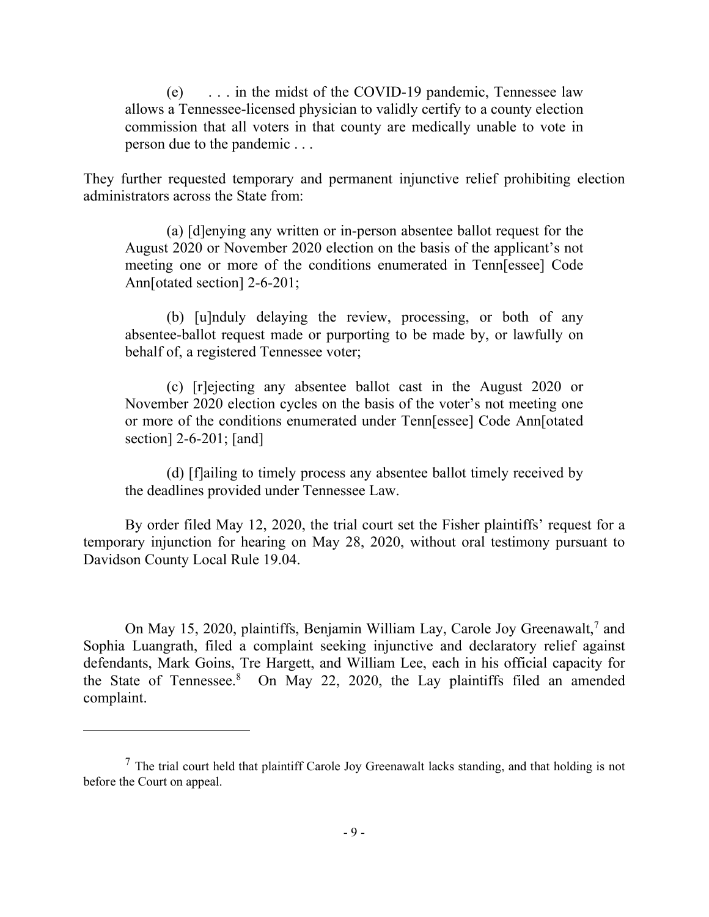(e) . . . in the midst of the COVID-19 pandemic, Tennessee law allows a Tennessee-licensed physician to validly certify to a county election commission that all voters in that county are medically unable to vote in person due to the pandemic . . .

They further requested temporary and permanent injunctive relief prohibiting election administrators across the State from:

(a) [d]enying any written or in-person absentee ballot request for the August 2020 or November 2020 election on the basis of the applicant's not meeting one or more of the conditions enumerated in Tenn[essee] Code Ann[otated section] 2-6-201;

(b) [u]nduly delaying the review, processing, or both of any absentee-ballot request made or purporting to be made by, or lawfully on behalf of, a registered Tennessee voter;

(c) [r]ejecting any absentee ballot cast in the August 2020 or November 2020 election cycles on the basis of the voter's not meeting one or more of the conditions enumerated under Tenn[essee] Code Ann[otated section] 2-6-201; [and]

(d) [f]ailing to timely process any absentee ballot timely received by the deadlines provided under Tennessee Law.

By order filed May 12, 2020, the trial court set the Fisher plaintiffs' request for a temporary injunction for hearing on May 28, 2020, without oral testimony pursuant to Davidson County Local Rule 19.04.

On May 15, 2020, plaintiffs, Benjamin William Lay, Carole Joy Greenawalt,<sup>7</sup> and Sophia Luangrath, filed a complaint seeking injunctive and declaratory relief against defendants, Mark Goins, Tre Hargett, and William Lee, each in his official capacity for the State of Tennessee.<sup>8</sup> On May 22, 2020, the Lay plaintiffs filed an amended complaint.

 $<sup>7</sup>$  The trial court held that plaintiff Carole Joy Greenawalt lacks standing, and that holding is not</sup> before the Court on appeal.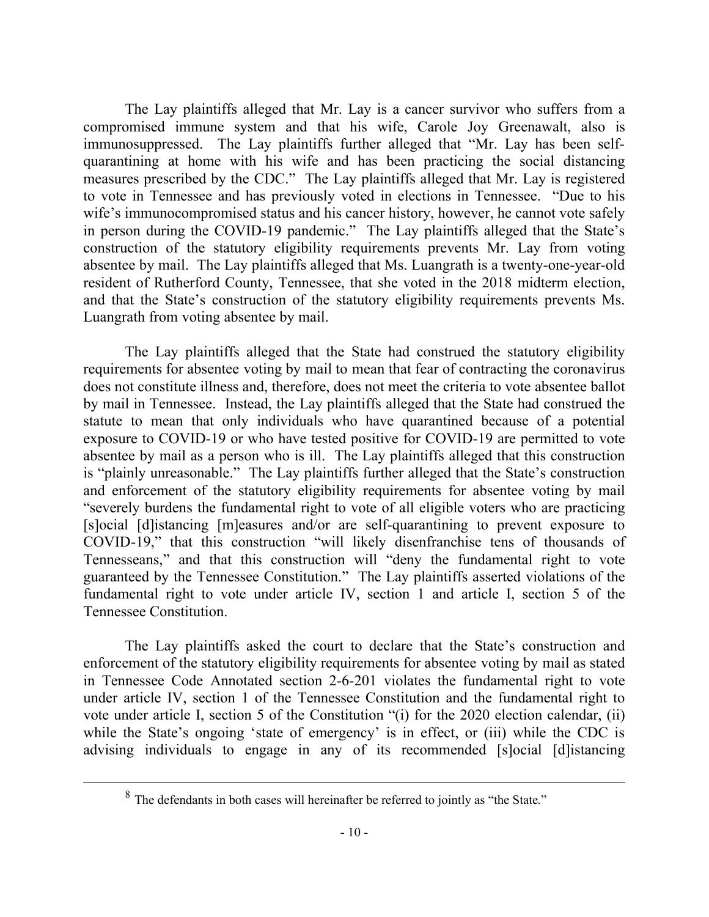The Lay plaintiffs alleged that Mr. Lay is a cancer survivor who suffers from a compromised immune system and that his wife, Carole Joy Greenawalt, also is immunosuppressed. The Lay plaintiffs further alleged that "Mr. Lay has been selfquarantining at home with his wife and has been practicing the social distancing measures prescribed by the CDC." The Lay plaintiffs alleged that Mr. Lay is registered to vote in Tennessee and has previously voted in elections in Tennessee. "Due to his wife's immunocompromised status and his cancer history, however, he cannot vote safely in person during the COVID-19 pandemic." The Lay plaintiffs alleged that the State's construction of the statutory eligibility requirements prevents Mr. Lay from voting absentee by mail. The Lay plaintiffs alleged that Ms. Luangrath is a twenty-one-year-old resident of Rutherford County, Tennessee, that she voted in the 2018 midterm election, and that the State's construction of the statutory eligibility requirements prevents Ms. Luangrath from voting absentee by mail.

The Lay plaintiffs alleged that the State had construed the statutory eligibility requirements for absentee voting by mail to mean that fear of contracting the coronavirus does not constitute illness and, therefore, does not meet the criteria to vote absentee ballot by mail in Tennessee. Instead, the Lay plaintiffs alleged that the State had construed the statute to mean that only individuals who have quarantined because of a potential exposure to COVID-19 or who have tested positive for COVID-19 are permitted to vote absentee by mail as a person who is ill. The Lay plaintiffs alleged that this construction is "plainly unreasonable." The Lay plaintiffs further alleged that the State's construction and enforcement of the statutory eligibility requirements for absentee voting by mail "severely burdens the fundamental right to vote of all eligible voters who are practicing [s]ocial [d]istancing [m]easures and/or are self-quarantining to prevent exposure to COVID-19," that this construction "will likely disenfranchise tens of thousands of Tennesseans," and that this construction will "deny the fundamental right to vote guaranteed by the Tennessee Constitution." The Lay plaintiffs asserted violations of the fundamental right to vote under article IV, section 1 and article I, section 5 of the Tennessee Constitution.

The Lay plaintiffs asked the court to declare that the State's construction and enforcement of the statutory eligibility requirements for absentee voting by mail as stated in Tennessee Code Annotated section 2-6-201 violates the fundamental right to vote under article IV, section 1 of the Tennessee Constitution and the fundamental right to vote under article I, section 5 of the Constitution "(i) for the 2020 election calendar, (ii) while the State's ongoing 'state of emergency' is in effect, or (iii) while the CDC is advising individuals to engage in any of its recommended [s]ocial [d]istancing

<sup>8</sup> The defendants in both cases will hereinafter be referred to jointly as "the State."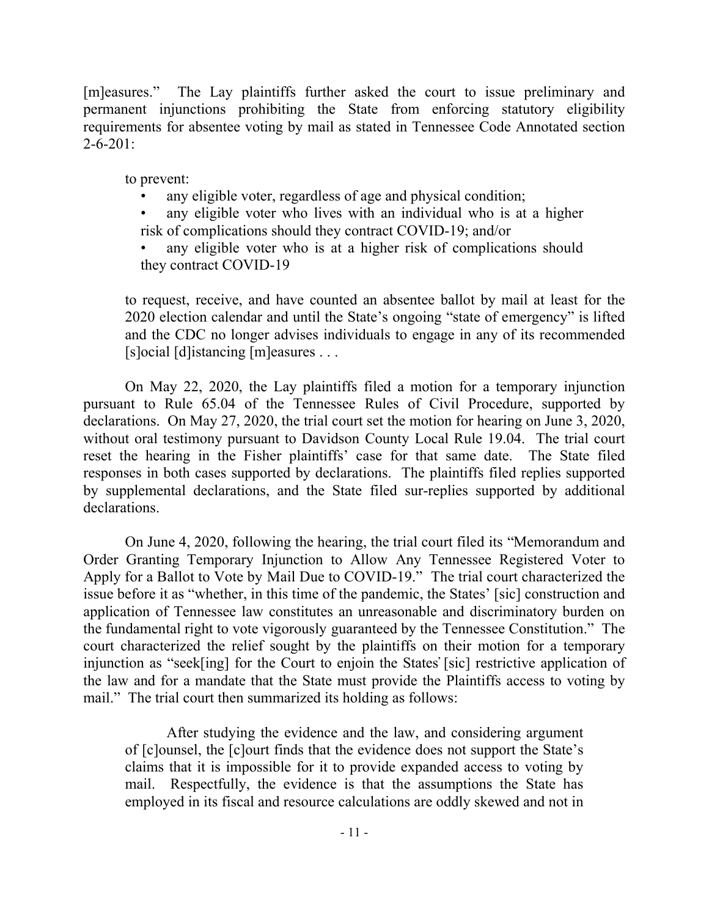[m]easures." The Lay plaintiffs further asked the court to issue preliminary and permanent injunctions prohibiting the State from enforcing statutory eligibility requirements for absentee voting by mail as stated in Tennessee Code Annotated section  $2 - 6 - 201$ :

to prevent:

any eligible voter, regardless of age and physical condition;

any eligible voter who lives with an individual who is at a higher risk of complications should they contract COVID-19; and/or

any eligible voter who is at a higher risk of complications should they contract COVID-19

to request, receive, and have counted an absentee ballot by mail at least for the 2020 election calendar and until the State's ongoing "state of emergency" is lifted and the CDC no longer advises individuals to engage in any of its recommended [s]ocial [d]istancing [m]easures . . .

On May 22, 2020, the Lay plaintiffs filed a motion for a temporary injunction pursuant to Rule 65.04 of the Tennessee Rules of Civil Procedure, supported by declarations. On May 27, 2020, the trial court set the motion for hearing on June 3, 2020, without oral testimony pursuant to Davidson County Local Rule 19.04. The trial court reset the hearing in the Fisher plaintiffs' case for that same date. The State filed responses in both cases supported by declarations. The plaintiffs filed replies supported by supplemental declarations, and the State filed sur-replies supported by additional declarations.

On June 4, 2020, following the hearing, the trial court filed its "Memorandum and Order Granting Temporary Injunction to Allow Any Tennessee Registered Voter to Apply for a Ballot to Vote by Mail Due to COVID-19." The trial court characterized the issue before it as "whether, in this time of the pandemic, the States' [sic] construction and application of Tennessee law constitutes an unreasonable and discriminatory burden on the fundamental right to vote vigorously guaranteed by the Tennessee Constitution." The court characterized the relief sought by the plaintiffs on their motion for a temporary injunction as "seek[ing] for the Court to enjoin the States̕ [sic] restrictive application of the law and for a mandate that the State must provide the Plaintiffs access to voting by mail." The trial court then summarized its holding as follows:

After studying the evidence and the law, and considering argument of [c]ounsel, the [c]ourt finds that the evidence does not support the State's claims that it is impossible for it to provide expanded access to voting by mail. Respectfully, the evidence is that the assumptions the State has employed in its fiscal and resource calculations are oddly skewed and not in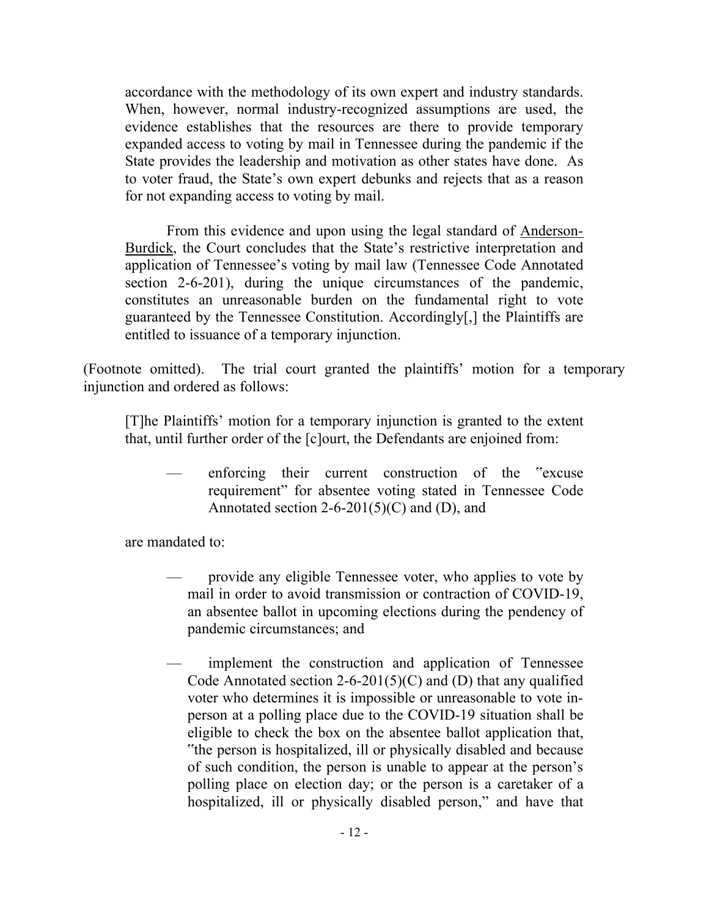accordance with the methodology of its own expert and industry standards. When, however, normal industry-recognized assumptions are used, the evidence establishes that the resources are there to provide temporary expanded access to voting by mail in Tennessee during the pandemic if the State provides the leadership and motivation as other states have done. As to voter fraud, the State's own expert debunks and rejects that as a reason for not expanding access to voting by mail.

From this evidence and upon using the legal standard of Anderson-Burdick, the Court concludes that the State's restrictive interpretation and application of Tennessee's voting by mail law (Tennessee Code Annotated section 2-6-201), during the unique circumstances of the pandemic, constitutes an unreasonable burden on the fundamental right to vote guaranteed by the Tennessee Constitution. Accordingly[,] the Plaintiffs are entitled to issuance of a temporary injunction.

(Footnote omitted). The trial court granted the plaintiffs' motion for a temporary injunction and ordered as follows:

[T]he Plaintiffs' motion for a temporary injunction is granted to the extent that, until further order of the [c]ourt, the Defendants are enjoined from:

— enforcing their current construction of the "excuse requirement" for absentee voting stated in Tennessee Code Annotated section 2-6-201(5)(C) and (D), and

are mandated to:

- provide any eligible Tennessee voter, who applies to vote by mail in order to avoid transmission or contraction of COVID-19, an absentee ballot in upcoming elections during the pendency of pandemic circumstances; and
- implement the construction and application of Tennessee Code Annotated section 2-6-201(5)(C) and (D) that any qualified voter who determines it is impossible or unreasonable to vote inperson at a polling place due to the COVID-19 situation shall be eligible to check the box on the absentee ballot application that, "the person is hospitalized, ill or physically disabled and because of such condition, the person is unable to appear at the person's polling place on election day; or the person is a caretaker of a hospitalized, ill or physically disabled person," and have that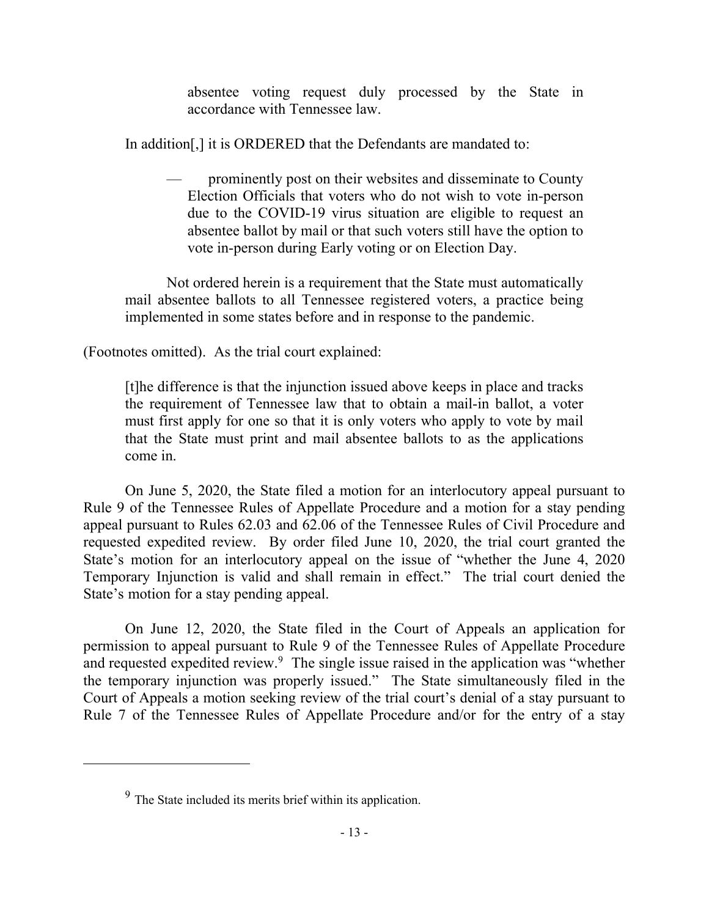absentee voting request duly processed by the State in accordance with Tennessee law.

In addition[,] it is ORDERED that the Defendants are mandated to:

— prominently post on their websites and disseminate to County Election Officials that voters who do not wish to vote in-person due to the COVID-19 virus situation are eligible to request an absentee ballot by mail or that such voters still have the option to vote in-person during Early voting or on Election Day.

Not ordered herein is a requirement that the State must automatically mail absentee ballots to all Tennessee registered voters, a practice being implemented in some states before and in response to the pandemic.

(Footnotes omitted). As the trial court explained:

[t]he difference is that the injunction issued above keeps in place and tracks the requirement of Tennessee law that to obtain a mail-in ballot, a voter must first apply for one so that it is only voters who apply to vote by mail that the State must print and mail absentee ballots to as the applications come in.

On June 5, 2020, the State filed a motion for an interlocutory appeal pursuant to Rule 9 of the Tennessee Rules of Appellate Procedure and a motion for a stay pending appeal pursuant to Rules 62.03 and 62.06 of the Tennessee Rules of Civil Procedure and requested expedited review. By order filed June 10, 2020, the trial court granted the State's motion for an interlocutory appeal on the issue of "whether the June 4, 2020 Temporary Injunction is valid and shall remain in effect." The trial court denied the State's motion for a stay pending appeal.

On June 12, 2020, the State filed in the Court of Appeals an application for permission to appeal pursuant to Rule 9 of the Tennessee Rules of Appellate Procedure and requested expedited review.<sup>9</sup> The single issue raised in the application was "whether the temporary injunction was properly issued." The State simultaneously filed in the Court of Appeals a motion seeking review of the trial court's denial of a stay pursuant to Rule 7 of the Tennessee Rules of Appellate Procedure and/or for the entry of a stay

 $9<sup>9</sup>$  The State included its merits brief within its application.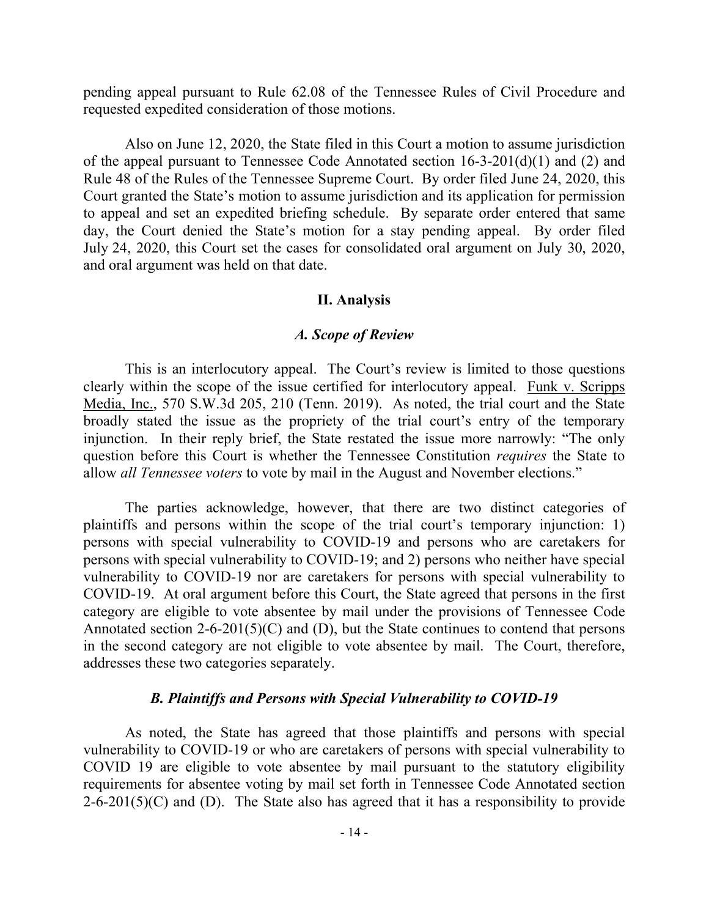pending appeal pursuant to Rule 62.08 of the Tennessee Rules of Civil Procedure and requested expedited consideration of those motions.

Also on June 12, 2020, the State filed in this Court a motion to assume jurisdiction of the appeal pursuant to Tennessee Code Annotated section 16-3-201(d)(1) and (2) and Rule 48 of the Rules of the Tennessee Supreme Court. By order filed June 24, 2020, this Court granted the State's motion to assume jurisdiction and its application for permission to appeal and set an expedited briefing schedule. By separate order entered that same day, the Court denied the State's motion for a stay pending appeal. By order filed July 24, 2020, this Court set the cases for consolidated oral argument on July 30, 2020, and oral argument was held on that date.

#### **II. Analysis**

#### *A. Scope of Review*

This is an interlocutory appeal. The Court's review is limited to those questions clearly within the scope of the issue certified for interlocutory appeal. Funk v. Scripps Media, Inc., 570 S.W.3d 205, 210 (Tenn. 2019). As noted, the trial court and the State broadly stated the issue as the propriety of the trial court's entry of the temporary injunction. In their reply brief, the State restated the issue more narrowly: "The only question before this Court is whether the Tennessee Constitution *requires* the State to allow *all Tennessee voters* to vote by mail in the August and November elections."

The parties acknowledge, however, that there are two distinct categories of plaintiffs and persons within the scope of the trial court's temporary injunction: 1) persons with special vulnerability to COVID-19 and persons who are caretakers for persons with special vulnerability to COVID-19; and 2) persons who neither have special vulnerability to COVID-19 nor are caretakers for persons with special vulnerability to COVID-19. At oral argument before this Court, the State agreed that persons in the first category are eligible to vote absentee by mail under the provisions of Tennessee Code Annotated section 2-6-201(5)(C) and (D), but the State continues to contend that persons in the second category are not eligible to vote absentee by mail. The Court, therefore, addresses these two categories separately.

#### *B. Plaintiffs and Persons with Special Vulnerability to COVID-19*

As noted, the State has agreed that those plaintiffs and persons with special vulnerability to COVID-19 or who are caretakers of persons with special vulnerability to COVID 19 are eligible to vote absentee by mail pursuant to the statutory eligibility requirements for absentee voting by mail set forth in Tennessee Code Annotated section  $2-6-201(5)(C)$  and (D). The State also has agreed that it has a responsibility to provide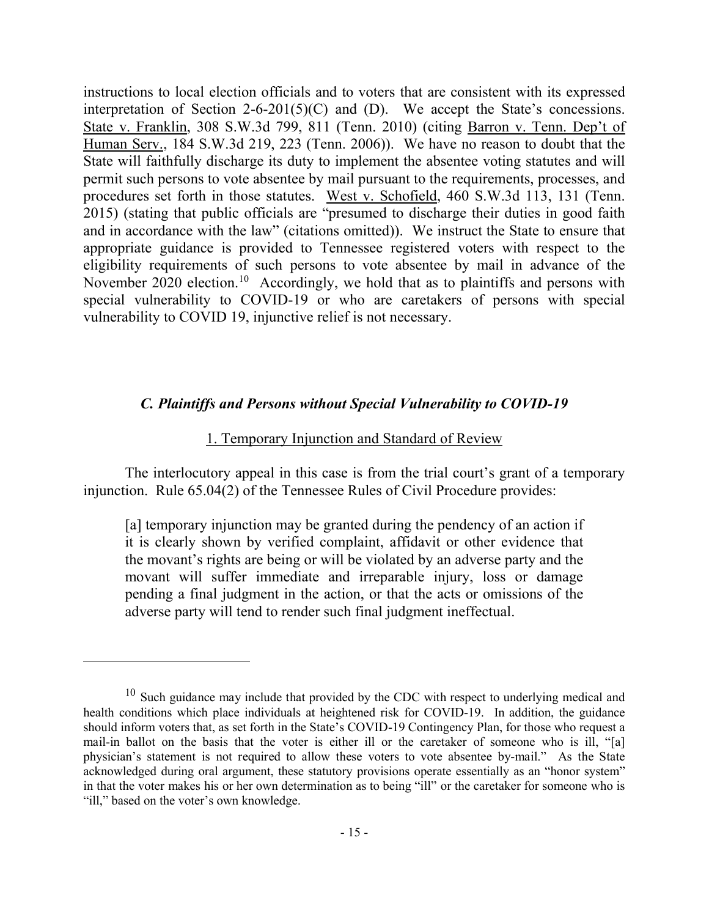instructions to local election officials and to voters that are consistent with its expressed interpretation of Section 2-6-201(5)(C) and (D). We accept the State's concessions. State v. Franklin, 308 S.W.3d 799, 811 (Tenn. 2010) (citing Barron v. Tenn. Dep't of Human Serv., 184 S.W.3d 219, 223 (Tenn. 2006)). We have no reason to doubt that the State will faithfully discharge its duty to implement the absentee voting statutes and will permit such persons to vote absentee by mail pursuant to the requirements, processes, and procedures set forth in those statutes. West v. Schofield, 460 S.W.3d 113, 131 (Tenn. 2015) (stating that public officials are "presumed to discharge their duties in good faith and in accordance with the law" (citations omitted)). We instruct the State to ensure that appropriate guidance is provided to Tennessee registered voters with respect to the eligibility requirements of such persons to vote absentee by mail in advance of the November 2020 election.<sup>10</sup> Accordingly, we hold that as to plaintiffs and persons with special vulnerability to COVID-19 or who are caretakers of persons with special vulnerability to COVID 19, injunctive relief is not necessary.

### *C. Plaintiffs and Persons without Special Vulnerability to COVID-19*

#### 1. Temporary Injunction and Standard of Review

The interlocutory appeal in this case is from the trial court's grant of a temporary injunction. Rule 65.04(2) of the Tennessee Rules of Civil Procedure provides:

[a] temporary injunction may be granted during the pendency of an action if it is clearly shown by verified complaint, affidavit or other evidence that the movant's rights are being or will be violated by an adverse party and the movant will suffer immediate and irreparable injury, loss or damage pending a final judgment in the action, or that the acts or omissions of the adverse party will tend to render such final judgment ineffectual.

 $10$  Such guidance may include that provided by the CDC with respect to underlying medical and health conditions which place individuals at heightened risk for COVID-19. In addition, the guidance should inform voters that, as set forth in the State's COVID-19 Contingency Plan, for those who request a mail-in ballot on the basis that the voter is either ill or the caretaker of someone who is ill, "[a] physician's statement is not required to allow these voters to vote absentee by-mail." As the State acknowledged during oral argument, these statutory provisions operate essentially as an "honor system" in that the voter makes his or her own determination as to being "ill" or the caretaker for someone who is "ill," based on the voter's own knowledge.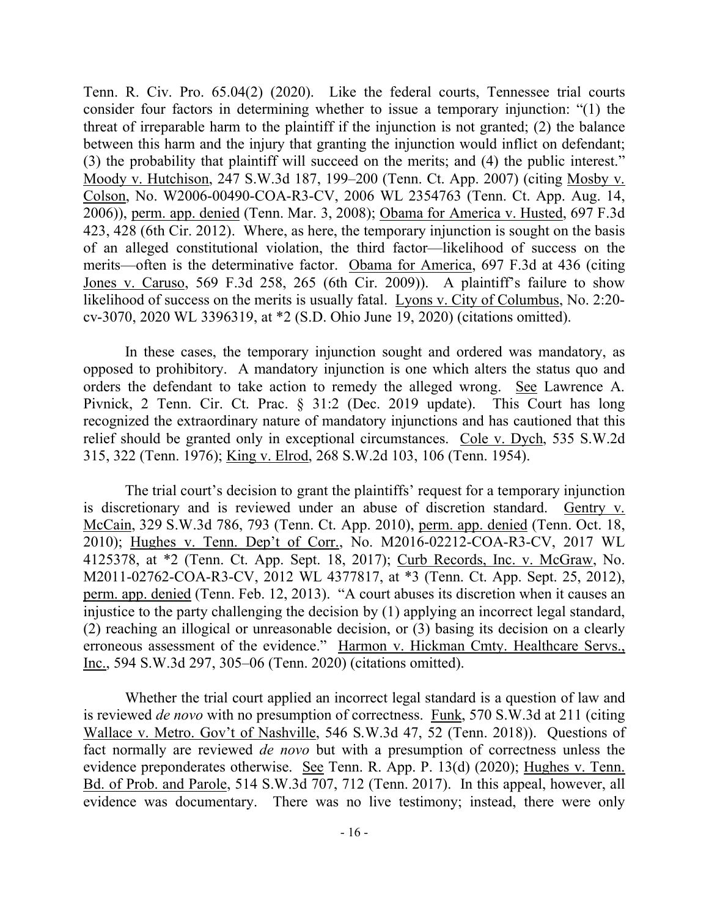Tenn. R. Civ. Pro. 65.04(2) (2020). Like the federal courts, Tennessee trial courts consider four factors in determining whether to issue a temporary injunction: "(1) the threat of irreparable harm to the plaintiff if the injunction is not granted; (2) the balance between this harm and the injury that granting the injunction would inflict on defendant; (3) the probability that plaintiff will succeed on the merits; and (4) the public interest." Moody v. Hutchison, 247 S.W.3d 187, 199–200 (Tenn. Ct. App. 2007) (citing Mosby v. Colson, No. W2006-00490-COA-R3-CV, 2006 WL 2354763 (Tenn. Ct. App. Aug. 14, 2006)), perm. app. denied (Tenn. Mar. 3, 2008); Obama for America v. Husted, 697 F.3d 423, 428 (6th Cir. 2012). Where, as here, the temporary injunction is sought on the basis of an alleged constitutional violation, the third factor—likelihood of success on the merits—often is the determinative factor. Obama for America, 697 F.3d at 436 (citing Jones v. Caruso, 569 F.3d 258, 265 (6th Cir. 2009)). A plaintiff's failure to show likelihood of success on the merits is usually fatal. Lyons v. City of Columbus, No. 2:20 cv-3070, 2020 WL 3396319, at \*2 (S.D. Ohio June 19, 2020) (citations omitted).

In these cases, the temporary injunction sought and ordered was mandatory, as opposed to prohibitory. A mandatory injunction is one which alters the status quo and orders the defendant to take action to remedy the alleged wrong. See Lawrence A. Pivnick, 2 Tenn. Cir. Ct. Prac. § 31:2 (Dec. 2019 update). This Court has long recognized the extraordinary nature of mandatory injunctions and has cautioned that this relief should be granted only in exceptional circumstances. Cole v. Dych, 535 S.W.2d 315, 322 (Tenn. 1976); King v. Elrod, 268 S.W.2d 103, 106 (Tenn. 1954).

The trial court's decision to grant the plaintiffs' request for a temporary injunction is discretionary and is reviewed under an abuse of discretion standard. Gentry v. McCain, 329 S.W.3d 786, 793 (Tenn. Ct. App. 2010), perm. app. denied (Tenn. Oct. 18, 2010); Hughes v. Tenn. Dep't of Corr., No. M2016-02212-COA-R3-CV, 2017 WL 4125378, at \*2 (Tenn. Ct. App. Sept. 18, 2017); Curb Records, Inc. v. McGraw, No. M2011-02762-COA-R3-CV, 2012 WL 4377817, at \*3 (Tenn. Ct. App. Sept. 25, 2012), perm. app. denied (Tenn. Feb. 12, 2013). "A court abuses its discretion when it causes an injustice to the party challenging the decision by (1) applying an incorrect legal standard, (2) reaching an illogical or unreasonable decision, or (3) basing its decision on a clearly erroneous assessment of the evidence." Harmon v. Hickman Cmty. Healthcare Servs., Inc., 594 S.W.3d 297, 305–06 (Tenn. 2020) (citations omitted).

Whether the trial court applied an incorrect legal standard is a question of law and is reviewed *de novo* with no presumption of correctness. Funk, 570 S.W.3d at 211 (citing Wallace v. Metro. Gov't of Nashville, 546 S.W.3d 47, 52 (Tenn. 2018)). Questions of fact normally are reviewed *de novo* but with a presumption of correctness unless the evidence preponderates otherwise. See Tenn. R. App. P. 13(d) (2020); Hughes v. Tenn. Bd. of Prob. and Parole, 514 S.W.3d 707, 712 (Tenn. 2017). In this appeal, however, all evidence was documentary. There was no live testimony; instead, there were only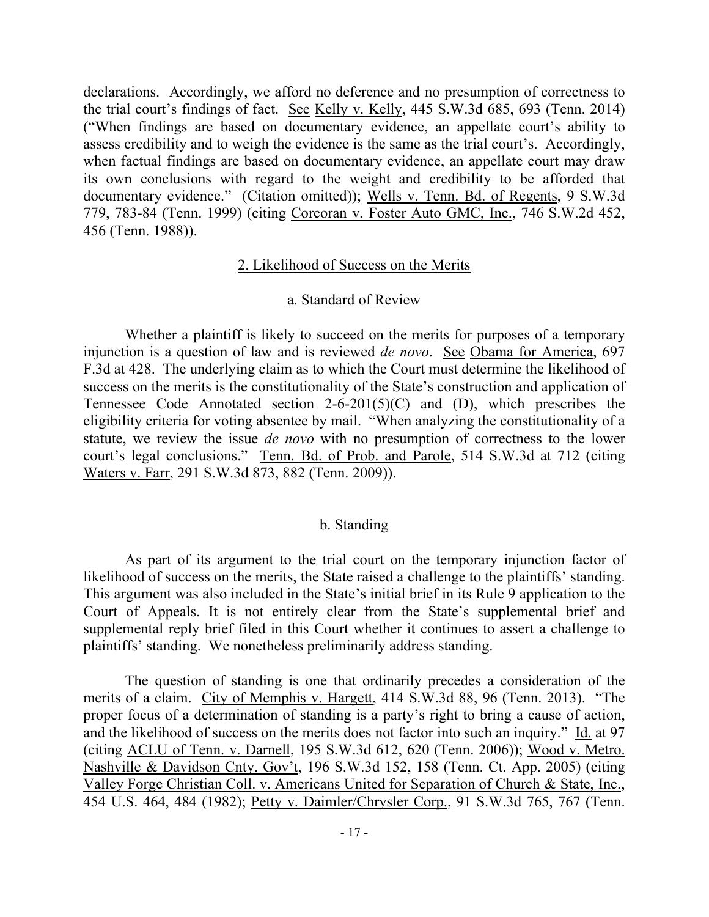declarations. Accordingly, we afford no deference and no presumption of correctness to the trial court's findings of fact. See Kelly v. Kelly, 445 S.W.3d 685, 693 (Tenn. 2014) ("When findings are based on documentary evidence, an appellate court's ability to assess credibility and to weigh the evidence is the same as the trial court's. Accordingly, when factual findings are based on documentary evidence, an appellate court may draw its own conclusions with regard to the weight and credibility to be afforded that documentary evidence." (Citation omitted)); Wells v. Tenn. Bd. of Regents, 9 S.W.3d 779, 783-84 (Tenn. 1999) (citing Corcoran v. Foster Auto GMC, Inc., 746 S.W.2d 452, 456 (Tenn. 1988)).

### 2. Likelihood of Success on the Merits

#### a. Standard of Review

Whether a plaintiff is likely to succeed on the merits for purposes of a temporary injunction is a question of law and is reviewed *de novo*. See Obama for America, 697 F.3d at 428. The underlying claim as to which the Court must determine the likelihood of success on the merits is the constitutionality of the State's construction and application of Tennessee Code Annotated section  $2-6-201(5)(C)$  and (D), which prescribes the eligibility criteria for voting absentee by mail. "When analyzing the constitutionality of a statute, we review the issue *de novo* with no presumption of correctness to the lower court's legal conclusions." Tenn. Bd. of Prob. and Parole, 514 S.W.3d at 712 (citing Waters v. Farr, 291 S.W.3d 873, 882 (Tenn. 2009)).

### b. Standing

As part of its argument to the trial court on the temporary injunction factor of likelihood of success on the merits, the State raised a challenge to the plaintiffs' standing. This argument was also included in the State's initial brief in its Rule 9 application to the Court of Appeals. It is not entirely clear from the State's supplemental brief and supplemental reply brief filed in this Court whether it continues to assert a challenge to plaintiffs' standing. We nonetheless preliminarily address standing.

The question of standing is one that ordinarily precedes a consideration of the merits of a claim. City of Memphis v. Hargett, 414 S.W.3d 88, 96 (Tenn. 2013). "The proper focus of a determination of standing is a party's right to bring a cause of action, and the likelihood of success on the merits does not factor into such an inquiry." Id. at 97 (citing ACLU of Tenn. v. Darnell, 195 S.W.3d 612, 620 (Tenn. 2006)); Wood v. Metro. Nashville & Davidson Cnty. Gov't, 196 S.W.3d 152, 158 (Tenn. Ct. App. 2005) (citing Valley Forge Christian Coll. v. Americans United for Separation of Church & State, Inc., 454 U.S. 464, 484 (1982); Petty v. Daimler/Chrysler Corp., 91 S.W.3d 765, 767 (Tenn.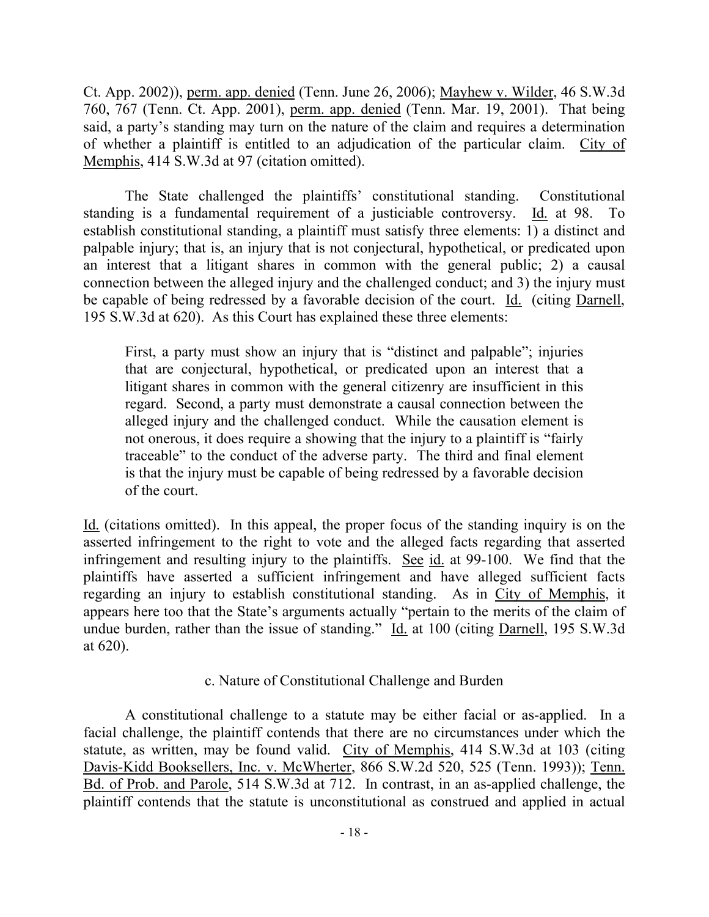Ct. App. 2002)), perm. app. denied (Tenn. June 26, 2006); Mayhew v. Wilder, 46 S.W.3d 760, 767 (Tenn. Ct. App. 2001), perm. app. denied (Tenn. Mar. 19, 2001). That being said, a party's standing may turn on the nature of the claim and requires a determination of whether a plaintiff is entitled to an adjudication of the particular claim. City of Memphis, 414 S.W.3d at 97 (citation omitted).

The State challenged the plaintiffs' constitutional standing. Constitutional standing is a fundamental requirement of a justiciable controversy. Id. at 98. To establish constitutional standing, a plaintiff must satisfy three elements: 1) a distinct and palpable injury; that is, an injury that is not conjectural, hypothetical, or predicated upon an interest that a litigant shares in common with the general public; 2) a causal connection between the alleged injury and the challenged conduct; and 3) the injury must be capable of being redressed by a favorable decision of the court. Id. (citing Darnell, 195 S.W.3d at 620). As this Court has explained these three elements:

First, a party must show an injury that is "distinct and palpable"; injuries that are conjectural, hypothetical, or predicated upon an interest that a litigant shares in common with the general citizenry are insufficient in this regard. Second, a party must demonstrate a causal connection between the alleged injury and the challenged conduct. While the causation element is not onerous, it does require a showing that the injury to a plaintiff is "fairly traceable" to the conduct of the adverse party. The third and final element is that the injury must be capable of being redressed by a favorable decision of the court.

Id. (citations omitted). In this appeal, the proper focus of the standing inquiry is on the asserted infringement to the right to vote and the alleged facts regarding that asserted infringement and resulting injury to the plaintiffs. See id. at 99-100. We find that the plaintiffs have asserted a sufficient infringement and have alleged sufficient facts regarding an injury to establish constitutional standing. As in City of Memphis, it appears here too that the State's arguments actually "pertain to the merits of the claim of undue burden, rather than the issue of standing." Id. at 100 (citing Darnell, 195 S.W.3d at 620).

c. Nature of Constitutional Challenge and Burden

A constitutional challenge to a statute may be either facial or as-applied. In a facial challenge, the plaintiff contends that there are no circumstances under which the statute, as written, may be found valid. City of Memphis, 414 S.W.3d at 103 (citing Davis-Kidd Booksellers, Inc. v. McWherter, 866 S.W.2d 520, 525 (Tenn. 1993)); Tenn. Bd. of Prob. and Parole, 514 S.W.3d at 712. In contrast, in an as-applied challenge, the plaintiff contends that the statute is unconstitutional as construed and applied in actual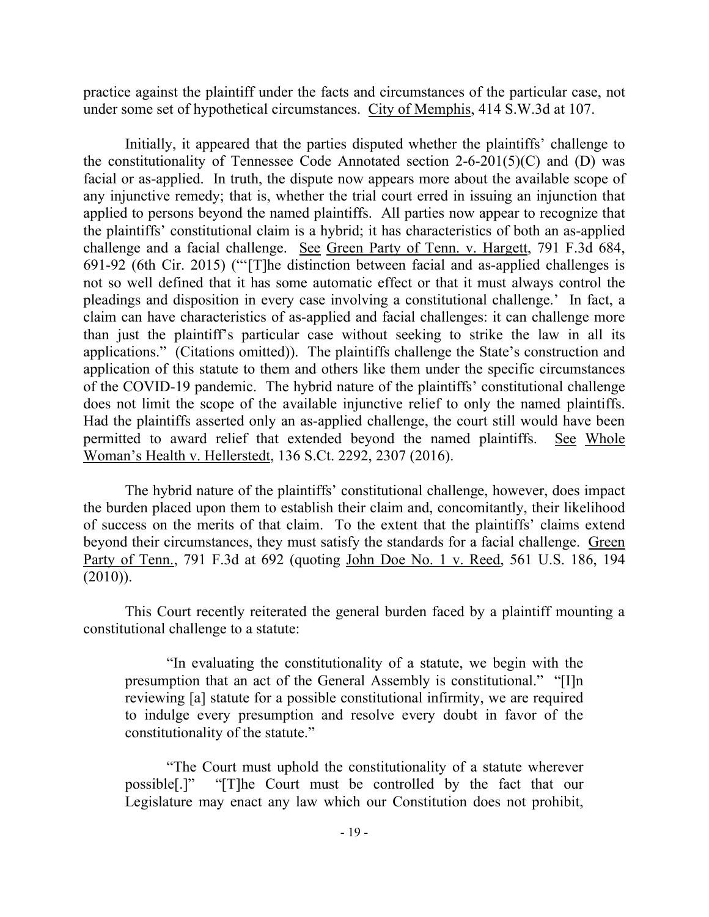practice against the plaintiff under the facts and circumstances of the particular case, not under some set of hypothetical circumstances. City of Memphis, 414 S.W.3d at 107.

Initially, it appeared that the parties disputed whether the plaintiffs' challenge to the constitutionality of Tennessee Code Annotated section  $2-6-201(5)(C)$  and (D) was facial or as-applied. In truth, the dispute now appears more about the available scope of any injunctive remedy; that is, whether the trial court erred in issuing an injunction that applied to persons beyond the named plaintiffs. All parties now appear to recognize that the plaintiffs' constitutional claim is a hybrid; it has characteristics of both an as-applied challenge and a facial challenge. See Green Party of Tenn. v. Hargett, 791 F.3d 684, 691-92 (6th Cir. 2015) ("'[T]he distinction between facial and as-applied challenges is not so well defined that it has some automatic effect or that it must always control the pleadings and disposition in every case involving a constitutional challenge.' In fact, a claim can have characteristics of as-applied and facial challenges: it can challenge more than just the plaintiff's particular case without seeking to strike the law in all its applications." (Citations omitted)). The plaintiffs challenge the State's construction and application of this statute to them and others like them under the specific circumstances of the COVID-19 pandemic. The hybrid nature of the plaintiffs' constitutional challenge does not limit the scope of the available injunctive relief to only the named plaintiffs. Had the plaintiffs asserted only an as-applied challenge, the court still would have been permitted to award relief that extended beyond the named plaintiffs. See Whole Woman's Health v. Hellerstedt, 136 S.Ct. 2292, 2307 (2016).

The hybrid nature of the plaintiffs' constitutional challenge, however, does impact the burden placed upon them to establish their claim and, concomitantly, their likelihood of success on the merits of that claim. To the extent that the plaintiffs' claims extend beyond their circumstances, they must satisfy the standards for a facial challenge. Green Party of Tenn., 791 F.3d at 692 (quoting John Doe No. 1 v. Reed, 561 U.S. 186, 194 (2010)).

This Court recently reiterated the general burden faced by a plaintiff mounting a constitutional challenge to a statute:

"In evaluating the constitutionality of a statute, we begin with the presumption that an act of the General Assembly is constitutional." "[I]n reviewing [a] statute for a possible constitutional infirmity, we are required to indulge every presumption and resolve every doubt in favor of the constitutionality of the statute."

"The Court must uphold the constitutionality of a statute wherever possible[.]" "[T]he Court must be controlled by the fact that our Legislature may enact any law which our Constitution does not prohibit,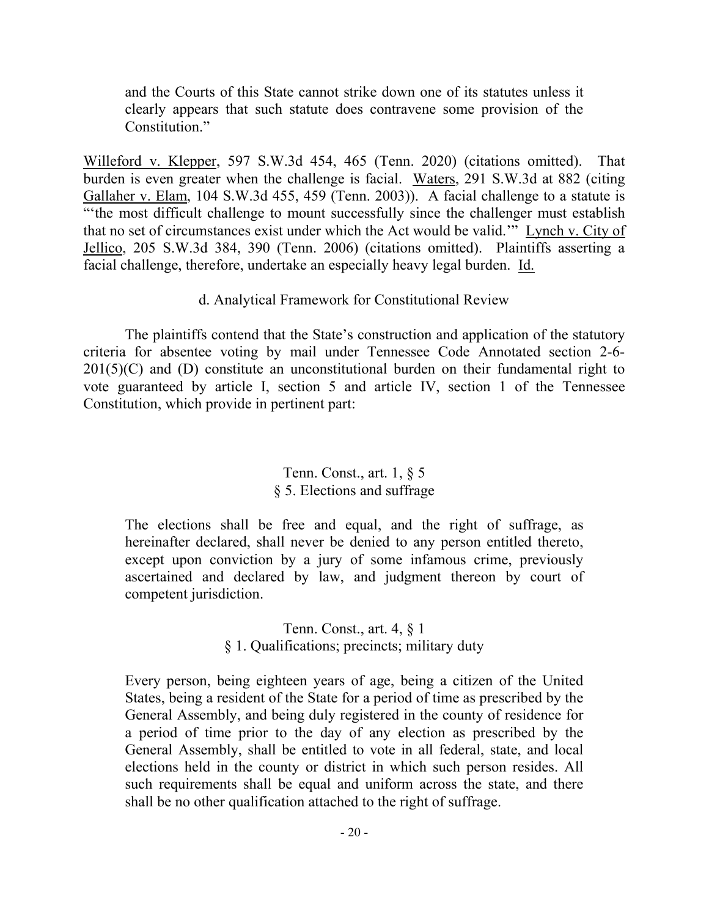and the Courts of this State cannot strike down one of its statutes unless it clearly appears that such statute does contravene some provision of the Constitution."

Willeford v. Klepper, 597 S.W.3d 454, 465 (Tenn. 2020) (citations omitted). That burden is even greater when the challenge is facial. Waters, 291 S.W.3d at 882 (citing Gallaher v. Elam, 104 S.W.3d 455, 459 (Tenn. 2003)). A facial challenge to a statute is "'the most difficult challenge to mount successfully since the challenger must establish that no set of circumstances exist under which the Act would be valid.'" Lynch v. City of Jellico, 205 S.W.3d 384, 390 (Tenn. 2006) (citations omitted). Plaintiffs asserting a facial challenge, therefore, undertake an especially heavy legal burden. Id.

## d. Analytical Framework for Constitutional Review

The plaintiffs contend that the State's construction and application of the statutory criteria for absentee voting by mail under Tennessee Code Annotated section 2-6-  $201(5)(C)$  and (D) constitute an unconstitutional burden on their fundamental right to vote guaranteed by article I, section 5 and article IV, section 1 of the Tennessee Constitution, which provide in pertinent part:

## Tenn. Const., art. 1, § 5 § 5. Elections and suffrage

The elections shall be free and equal, and the right of suffrage, as hereinafter declared, shall never be denied to any person entitled thereto, except upon conviction by a jury of some infamous crime, previously ascertained and declared by law, and judgment thereon by court of competent jurisdiction.

### Tenn. Const., art. 4, § 1 § 1. Qualifications; precincts; military duty

Every person, being eighteen years of age, being a citizen of the United States, being a resident of the State for a period of time as prescribed by the General Assembly, and being duly registered in the county of residence for a period of time prior to the day of any election as prescribed by the General Assembly, shall be entitled to vote in all federal, state, and local elections held in the county or district in which such person resides. All such requirements shall be equal and uniform across the state, and there shall be no other qualification attached to the right of suffrage.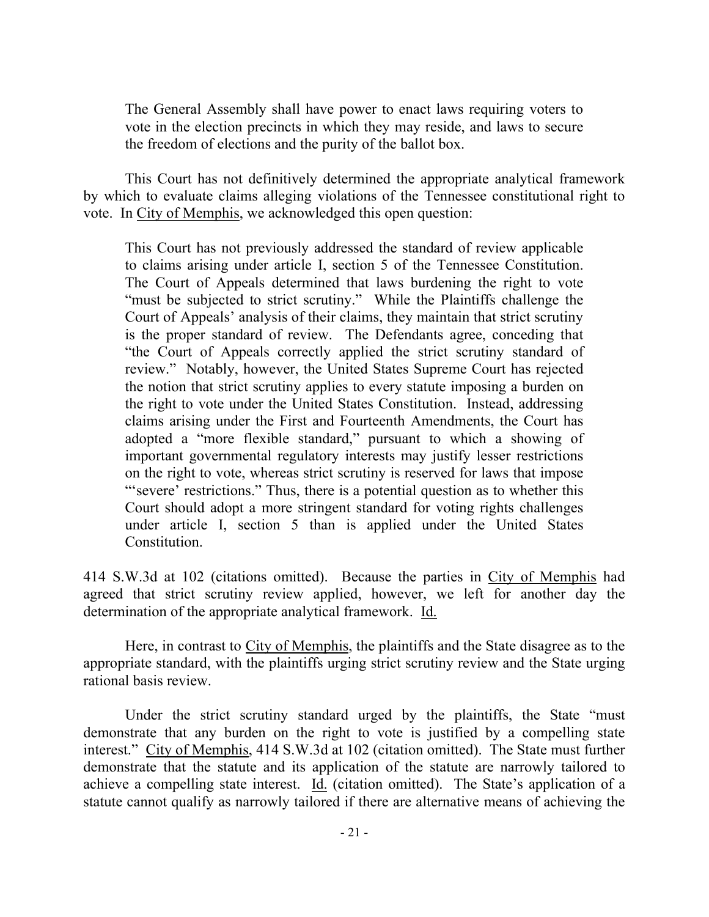The General Assembly shall have power to enact laws requiring voters to vote in the election precincts in which they may reside, and laws to secure the freedom of elections and the purity of the ballot box.

This Court has not definitively determined the appropriate analytical framework by which to evaluate claims alleging violations of the Tennessee constitutional right to vote. In City of Memphis, we acknowledged this open question:

This Court has not previously addressed the standard of review applicable to claims arising under article I, section 5 of the Tennessee Constitution. The Court of Appeals determined that laws burdening the right to vote "must be subjected to strict scrutiny." While the Plaintiffs challenge the Court of Appeals' analysis of their claims, they maintain that strict scrutiny is the proper standard of review. The Defendants agree, conceding that "the Court of Appeals correctly applied the strict scrutiny standard of review." Notably, however, the United States Supreme Court has rejected the notion that strict scrutiny applies to every statute imposing a burden on the right to vote under the United States Constitution. Instead, addressing claims arising under the First and Fourteenth Amendments, the Court has adopted a "more flexible standard," pursuant to which a showing of important governmental regulatory interests may justify lesser restrictions on the right to vote, whereas strict scrutiny is reserved for laws that impose "'severe' restrictions." Thus, there is a potential question as to whether this Court should adopt a more stringent standard for voting rights challenges under article I, section 5 than is applied under the United States Constitution.

414 S.W.3d at 102 (citations omitted). Because the parties in City of Memphis had agreed that strict scrutiny review applied, however, we left for another day the determination of the appropriate analytical framework. Id.

Here, in contrast to City of Memphis, the plaintiffs and the State disagree as to the appropriate standard, with the plaintiffs urging strict scrutiny review and the State urging rational basis review.

Under the strict scrutiny standard urged by the plaintiffs, the State "must demonstrate that any burden on the right to vote is justified by a compelling state interest." City of Memphis, 414 S.W.3d at 102 (citation omitted). The State must further demonstrate that the statute and its application of the statute are narrowly tailored to achieve a compelling state interest. Id. (citation omitted). The State's application of a statute cannot qualify as narrowly tailored if there are alternative means of achieving the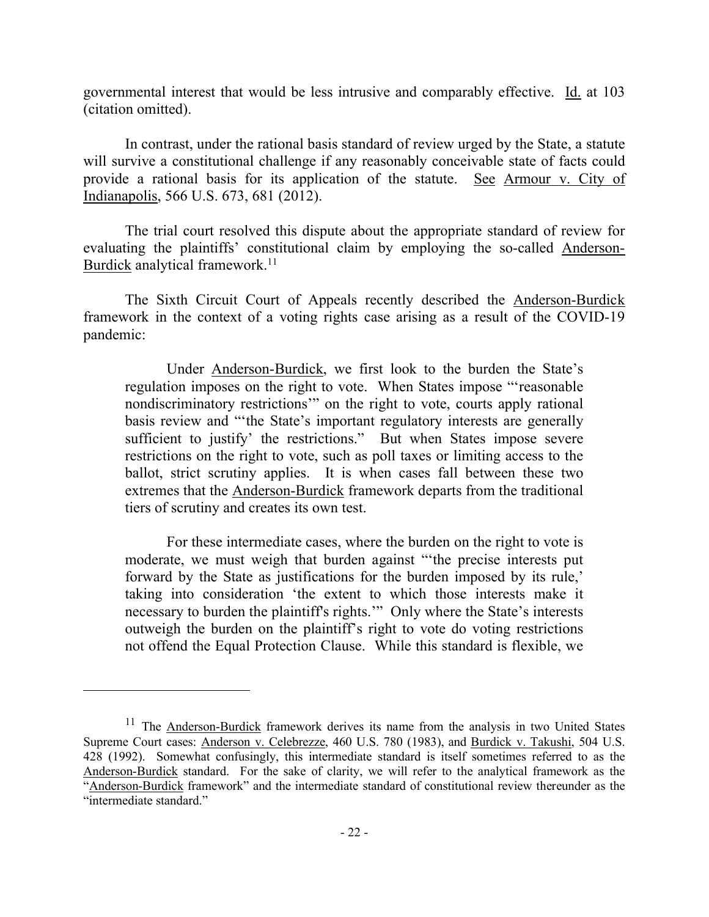governmental interest that would be less intrusive and comparably effective. Id. at 103 (citation omitted).

In contrast, under the rational basis standard of review urged by the State, a statute will survive a constitutional challenge if any reasonably conceivable state of facts could provide a rational basis for its application of the statute. See Armour v. City of Indianapolis, 566 U.S. 673, 681 (2012).

The trial court resolved this dispute about the appropriate standard of review for evaluating the plaintiffs' constitutional claim by employing the so-called Anderson-Burdick analytical framework.<sup>11</sup>

The Sixth Circuit Court of Appeals recently described the Anderson-Burdick framework in the context of a voting rights case arising as a result of the COVID-19 pandemic:

Under Anderson-Burdick, we first look to the burden the State's regulation imposes on the right to vote. When States impose "'reasonable nondiscriminatory restrictions'" on the right to vote, courts apply rational basis review and "'the State's important regulatory interests are generally sufficient to justify' the restrictions." But when States impose severe restrictions on the right to vote, such as poll taxes or limiting access to the ballot, strict scrutiny applies. It is when cases fall between these two extremes that the Anderson-Burdick framework departs from the traditional tiers of scrutiny and creates its own test.

For these intermediate cases, where the burden on the right to vote is moderate, we must weigh that burden against "'the precise interests put forward by the State as justifications for the burden imposed by its rule,' taking into consideration 'the extent to which those interests make it necessary to burden the plaintiff's rights.'" Only where the State's interests outweigh the burden on the plaintiff's right to vote do voting restrictions not offend the Equal Protection Clause. While this standard is flexible, we

<sup>&</sup>lt;sup>11</sup> The **Anderson-Burdick** framework derives its name from the analysis in two United States Supreme Court cases: Anderson v. Celebrezze, 460 U.S. 780 (1983), and Burdick v. Takushi, 504 U.S. 428 (1992). Somewhat confusingly, this intermediate standard is itself sometimes referred to as the Anderson-Burdick standard. For the sake of clarity, we will refer to the analytical framework as the "Anderson-Burdick framework" and the intermediate standard of constitutional review thereunder as the "intermediate standard."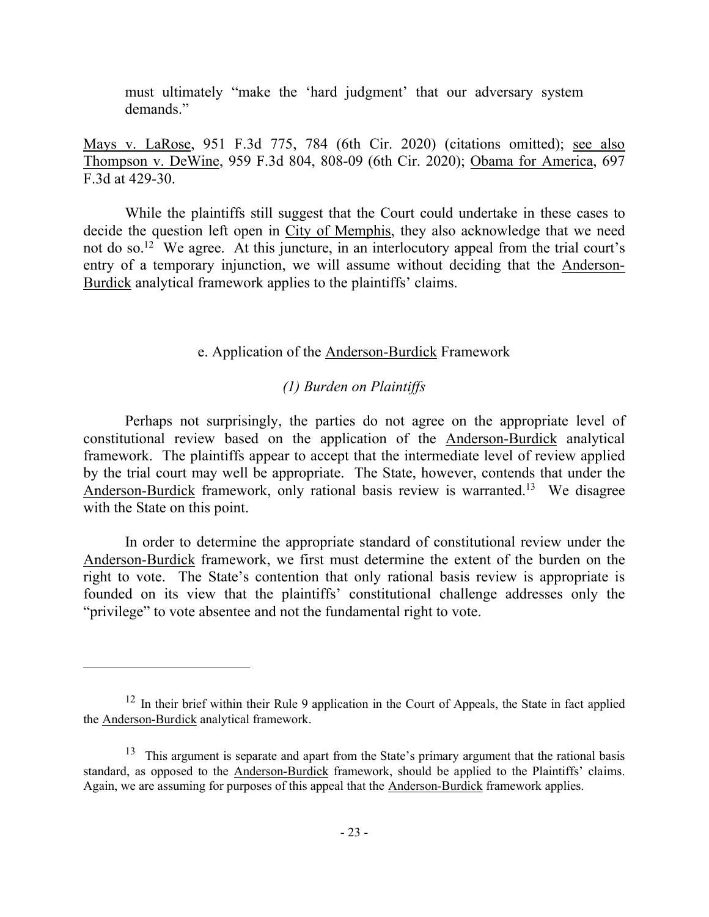must ultimately "make the 'hard judgment' that our adversary system demands."

Mays v. LaRose, 951 F.3d 775, 784 (6th Cir. 2020) (citations omitted); see also Thompson v. DeWine, 959 F.3d 804, 808-09 (6th Cir. 2020); Obama for America, 697 F.3d at 429-30.

While the plaintiffs still suggest that the Court could undertake in these cases to decide the question left open in City of Memphis, they also acknowledge that we need not do so.<sup>12</sup> We agree. At this juncture, in an interlocutory appeal from the trial court's entry of a temporary injunction, we will assume without deciding that the Anderson-Burdick analytical framework applies to the plaintiffs' claims.

#### e. Application of the Anderson-Burdick Framework

## *(1) Burden on Plaintiffs*

Perhaps not surprisingly, the parties do not agree on the appropriate level of constitutional review based on the application of the Anderson-Burdick analytical framework. The plaintiffs appear to accept that the intermediate level of review applied by the trial court may well be appropriate. The State, however, contends that under the Anderson-Burdick framework, only rational basis review is warranted.<sup>13</sup> We disagree with the State on this point.

In order to determine the appropriate standard of constitutional review under the Anderson-Burdick framework, we first must determine the extent of the burden on the right to vote. The State's contention that only rational basis review is appropriate is founded on its view that the plaintiffs' constitutional challenge addresses only the "privilege" to vote absentee and not the fundamental right to vote.

 $12$  In their brief within their Rule 9 application in the Court of Appeals, the State in fact applied the Anderson-Burdick analytical framework.

<sup>&</sup>lt;sup>13</sup> This argument is separate and apart from the State's primary argument that the rational basis standard, as opposed to the Anderson-Burdick framework, should be applied to the Plaintiffs' claims. Again, we are assuming for purposes of this appeal that the Anderson-Burdick framework applies.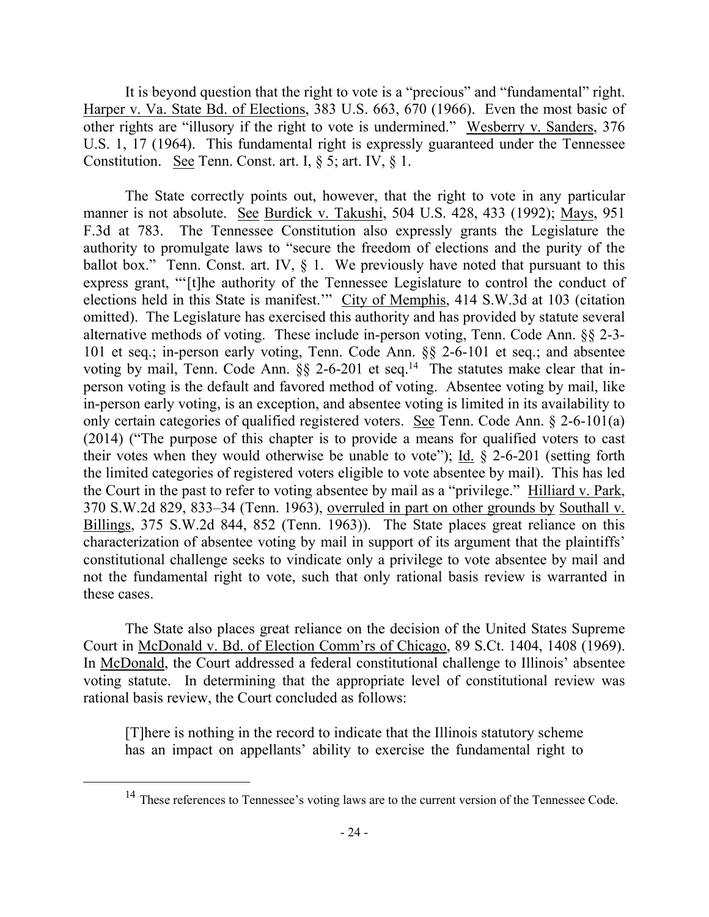It is beyond question that the right to vote is a "precious" and "fundamental" right. Harper v. Va. State Bd. of Elections, 383 U.S. 663, 670 (1966). Even the most basic of other rights are "illusory if the right to vote is undermined." Wesberry v. Sanders, 376 U.S. 1, 17 (1964). This fundamental right is expressly guaranteed under the Tennessee Constitution. See Tenn. Const. art. I, § 5; art. IV, § 1.

The State correctly points out, however, that the right to vote in any particular manner is not absolute. See Burdick v. Takushi, 504 U.S. 428, 433 (1992); Mays, 951 F.3d at 783. The Tennessee Constitution also expressly grants the Legislature the authority to promulgate laws to "secure the freedom of elections and the purity of the ballot box." Tenn. Const. art. IV,  $\S$  1. We previously have noted that pursuant to this express grant, "'[t]he authority of the Tennessee Legislature to control the conduct of elections held in this State is manifest.'" City of Memphis, 414 S.W.3d at 103 (citation omitted). The Legislature has exercised this authority and has provided by statute several alternative methods of voting. These include in-person voting, Tenn. Code Ann. §§ 2-3- 101 et seq.; in-person early voting, Tenn. Code Ann. §§ 2-6-101 et seq.; and absentee voting by mail, Tenn. Code Ann.  $\S\S$  2-6-201 et seq.<sup>14</sup> The statutes make clear that inperson voting is the default and favored method of voting. Absentee voting by mail, like in-person early voting, is an exception, and absentee voting is limited in its availability to only certain categories of qualified registered voters. See Tenn. Code Ann. § 2-6-101(a) (2014) ("The purpose of this chapter is to provide a means for qualified voters to cast their votes when they would otherwise be unable to vote"); Id. § 2-6-201 (setting forth the limited categories of registered voters eligible to vote absentee by mail). This has led the Court in the past to refer to voting absentee by mail as a "privilege." Hilliard v. Park, 370 S.W.2d 829, 833–34 (Tenn. 1963), overruled in part on other grounds by Southall v. Billings, 375 S.W.2d 844, 852 (Tenn. 1963)). The State places great reliance on this characterization of absentee voting by mail in support of its argument that the plaintiffs' constitutional challenge seeks to vindicate only a privilege to vote absentee by mail and not the fundamental right to vote, such that only rational basis review is warranted in these cases.

The State also places great reliance on the decision of the United States Supreme Court in McDonald v. Bd. of Election Comm'rs of Chicago, 89 S.Ct. 1404, 1408 (1969). In McDonald, the Court addressed a federal constitutional challenge to Illinois' absentee voting statute. In determining that the appropriate level of constitutional review was rational basis review, the Court concluded as follows:

[T]here is nothing in the record to indicate that the Illinois statutory scheme has an impact on appellants' ability to exercise the fundamental right to

<sup>&</sup>lt;sup>14</sup> These references to Tennessee's voting laws are to the current version of the Tennessee Code.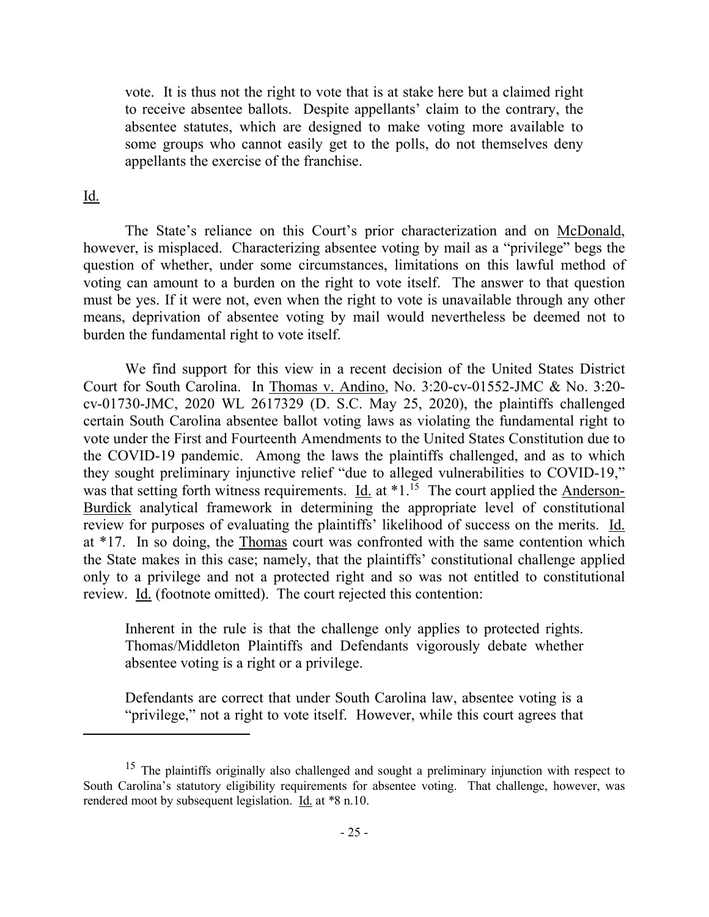vote. It is thus not the right to vote that is at stake here but a claimed right to receive absentee ballots. Despite appellants' claim to the contrary, the absentee statutes, which are designed to make voting more available to some groups who cannot easily get to the polls, do not themselves deny appellants the exercise of the franchise.

#### Id.

 $\overline{a}$ 

The State's reliance on this Court's prior characterization and on McDonald, however, is misplaced. Characterizing absentee voting by mail as a "privilege" begs the question of whether, under some circumstances, limitations on this lawful method of voting can amount to a burden on the right to vote itself. The answer to that question must be yes. If it were not, even when the right to vote is unavailable through any other means, deprivation of absentee voting by mail would nevertheless be deemed not to burden the fundamental right to vote itself.

We find support for this view in a recent decision of the United States District Court for South Carolina. In Thomas v. Andino, No. 3:20-cv-01552-JMC & No. 3:20 cv-01730-JMC, 2020 WL 2617329 (D. S.C. May 25, 2020), the plaintiffs challenged certain South Carolina absentee ballot voting laws as violating the fundamental right to vote under the First and Fourteenth Amendments to the United States Constitution due to the COVID-19 pandemic. Among the laws the plaintiffs challenged, and as to which they sought preliminary injunctive relief "due to alleged vulnerabilities to COVID-19," was that setting forth witness requirements. Id. at \*1.<sup>15</sup> The court applied the Anderson-Burdick analytical framework in determining the appropriate level of constitutional review for purposes of evaluating the plaintiffs' likelihood of success on the merits. Id. at \*17. In so doing, the Thomas court was confronted with the same contention which the State makes in this case; namely, that the plaintiffs' constitutional challenge applied only to a privilege and not a protected right and so was not entitled to constitutional review. Id. (footnote omitted). The court rejected this contention:

Inherent in the rule is that the challenge only applies to protected rights. Thomas/Middleton Plaintiffs and Defendants vigorously debate whether absentee voting is a right or a privilege.

Defendants are correct that under South Carolina law, absentee voting is a "privilege," not a right to vote itself. However, while this court agrees that

<sup>&</sup>lt;sup>15</sup> The plaintiffs originally also challenged and sought a preliminary injunction with respect to South Carolina's statutory eligibility requirements for absentee voting. That challenge, however, was rendered moot by subsequent legislation. Id. at \*8 n.10.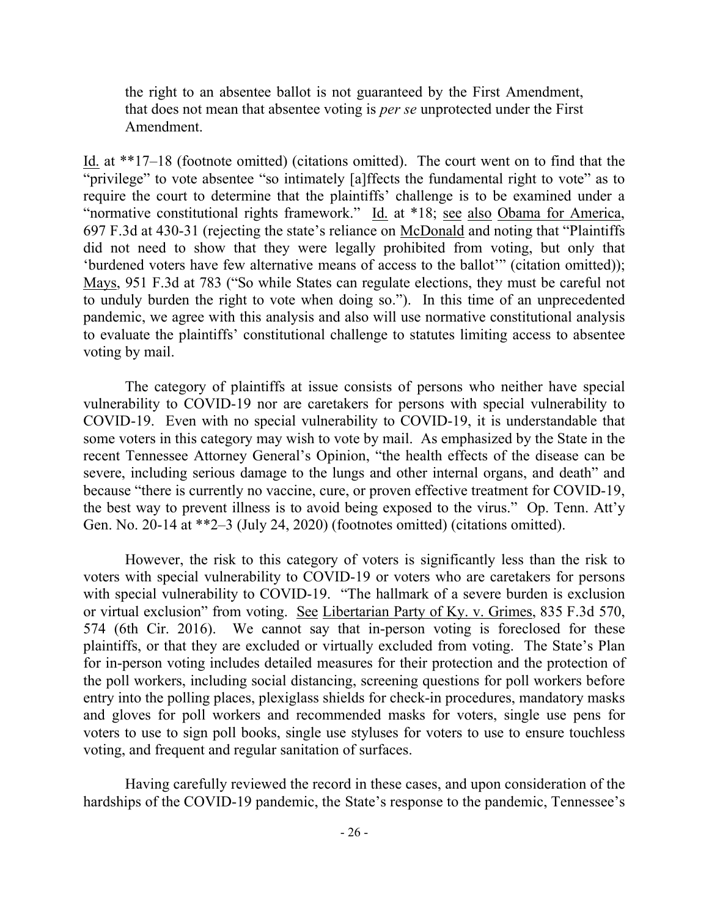the right to an absentee ballot is not guaranteed by the First Amendment, that does not mean that absentee voting is *per se* unprotected under the First Amendment.

Id. at \*\*17–18 (footnote omitted) (citations omitted). The court went on to find that the "privilege" to vote absentee "so intimately [a]ffects the fundamental right to vote" as to require the court to determine that the plaintiffs' challenge is to be examined under a "normative constitutional rights framework." Id. at \*18; see also Obama for America, 697 F.3d at 430-31 (rejecting the state's reliance on McDonald and noting that "Plaintiffs did not need to show that they were legally prohibited from voting, but only that 'burdened voters have few alternative means of access to the ballot'" (citation omitted)); Mays, 951 F.3d at 783 ("So while States can regulate elections, they must be careful not to unduly burden the right to vote when doing so."). In this time of an unprecedented pandemic, we agree with this analysis and also will use normative constitutional analysis to evaluate the plaintiffs' constitutional challenge to statutes limiting access to absentee voting by mail.

The category of plaintiffs at issue consists of persons who neither have special vulnerability to COVID-19 nor are caretakers for persons with special vulnerability to COVID-19. Even with no special vulnerability to COVID-19, it is understandable that some voters in this category may wish to vote by mail. As emphasized by the State in the recent Tennessee Attorney General's Opinion, "the health effects of the disease can be severe, including serious damage to the lungs and other internal organs, and death" and because "there is currently no vaccine, cure, or proven effective treatment for COVID-19, the best way to prevent illness is to avoid being exposed to the virus." Op. Tenn. Att'y Gen. No. 20-14 at \*\*2–3 (July 24, 2020) (footnotes omitted) (citations omitted).

However, the risk to this category of voters is significantly less than the risk to voters with special vulnerability to COVID-19 or voters who are caretakers for persons with special vulnerability to COVID-19. "The hallmark of a severe burden is exclusion or virtual exclusion" from voting. See Libertarian Party of Ky. v. Grimes, 835 F.3d 570, 574 (6th Cir. 2016). We cannot say that in-person voting is foreclosed for these plaintiffs, or that they are excluded or virtually excluded from voting. The State's Plan for in-person voting includes detailed measures for their protection and the protection of the poll workers, including social distancing, screening questions for poll workers before entry into the polling places, plexiglass shields for check-in procedures, mandatory masks and gloves for poll workers and recommended masks for voters, single use pens for voters to use to sign poll books, single use styluses for voters to use to ensure touchless voting, and frequent and regular sanitation of surfaces.

Having carefully reviewed the record in these cases, and upon consideration of the hardships of the COVID-19 pandemic, the State's response to the pandemic, Tennessee's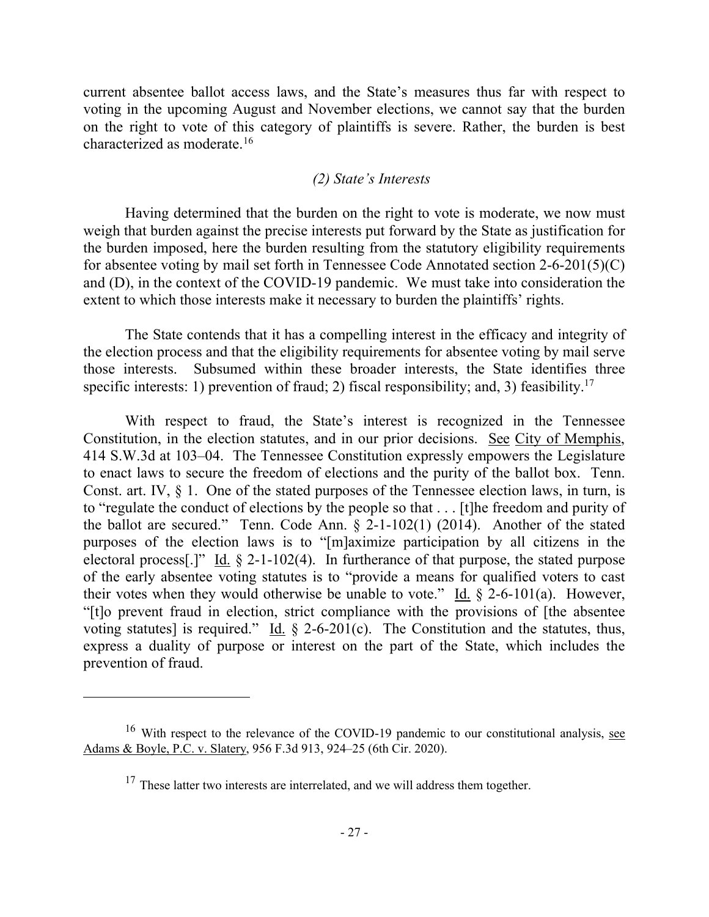current absentee ballot access laws, and the State's measures thus far with respect to voting in the upcoming August and November elections, we cannot say that the burden on the right to vote of this category of plaintiffs is severe. Rather, the burden is best characterized as moderate.<sup>16</sup>

#### *(2) State's Interests*

Having determined that the burden on the right to vote is moderate, we now must weigh that burden against the precise interests put forward by the State as justification for the burden imposed, here the burden resulting from the statutory eligibility requirements for absentee voting by mail set forth in Tennessee Code Annotated section 2-6-201(5)(C) and (D), in the context of the COVID-19 pandemic. We must take into consideration the extent to which those interests make it necessary to burden the plaintiffs' rights.

The State contends that it has a compelling interest in the efficacy and integrity of the election process and that the eligibility requirements for absentee voting by mail serve those interests. Subsumed within these broader interests, the State identifies three specific interests: 1) prevention of fraud; 2) fiscal responsibility; and, 3) feasibility.<sup>17</sup>

With respect to fraud, the State's interest is recognized in the Tennessee Constitution, in the election statutes, and in our prior decisions. See City of Memphis, 414 S.W.3d at 103–04. The Tennessee Constitution expressly empowers the Legislature to enact laws to secure the freedom of elections and the purity of the ballot box. Tenn. Const. art. IV,  $\S$  1. One of the stated purposes of the Tennessee election laws, in turn, is to "regulate the conduct of elections by the people so that . . . [t]he freedom and purity of the ballot are secured." Tenn. Code Ann. § 2-1-102(1) (2014). Another of the stated purposes of the election laws is to "[m]aximize participation by all citizens in the electoral process[.]" Id.  $\S$  2-1-102(4). In furtherance of that purpose, the stated purpose of the early absentee voting statutes is to "provide a means for qualified voters to cast their votes when they would otherwise be unable to vote." Id.  $\S$  2-6-101(a). However, "[t]o prevent fraud in election, strict compliance with the provisions of [the absentee voting statutes] is required." Id.  $\S$  2-6-201(c). The Constitution and the statutes, thus, express a duality of purpose or interest on the part of the State, which includes the prevention of fraud.

 $16$  With respect to the relevance of the COVID-19 pandemic to our constitutional analysis, see Adams & Boyle, P.C. v. Slatery, 956 F.3d 913, 924–25 (6th Cir. 2020).

 $17$  These latter two interests are interrelated, and we will address them together.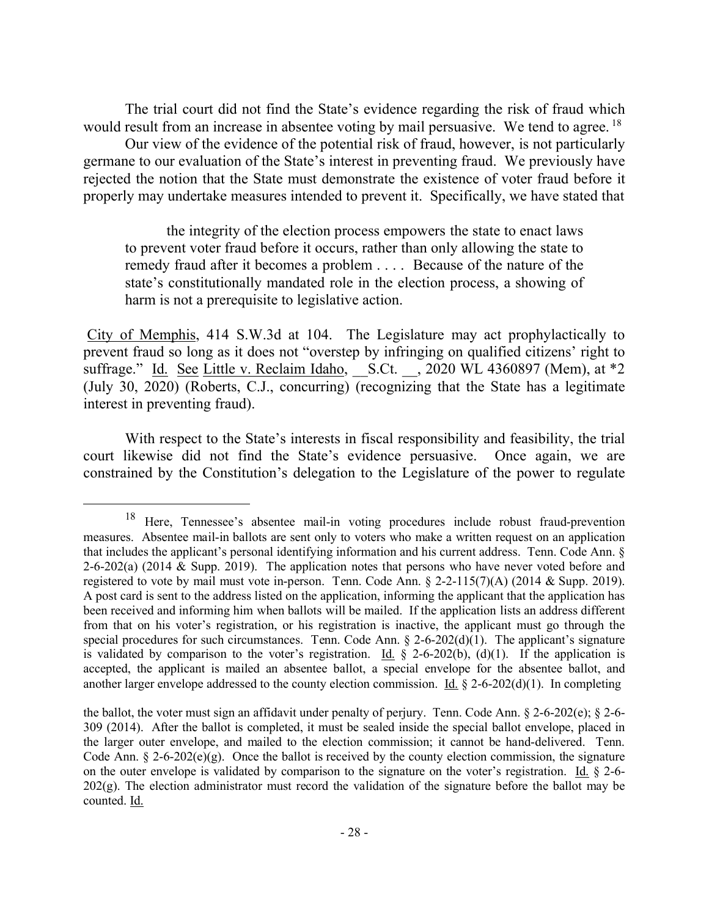The trial court did not find the State's evidence regarding the risk of fraud which would result from an increase in absentee voting by mail persuasive. We tend to agree. <sup>18</sup>

Our view of the evidence of the potential risk of fraud, however, is not particularly germane to our evaluation of the State's interest in preventing fraud. We previously have rejected the notion that the State must demonstrate the existence of voter fraud before it properly may undertake measures intended to prevent it. Specifically, we have stated that

the integrity of the election process empowers the state to enact laws to prevent voter fraud before it occurs, rather than only allowing the state to remedy fraud after it becomes a problem . . . . Because of the nature of the state's constitutionally mandated role in the election process, a showing of harm is not a prerequisite to legislative action.

City of Memphis, 414 S.W.3d at 104. The Legislature may act prophylactically to prevent fraud so long as it does not "overstep by infringing on qualified citizens' right to suffrage." Id. See Little v. Reclaim Idaho, S.Ct. \_, 2020 WL 4360897 (Mem), at \*2 (July 30, 2020) (Roberts, C.J., concurring) (recognizing that the State has a legitimate interest in preventing fraud).

With respect to the State's interests in fiscal responsibility and feasibility, the trial court likewise did not find the State's evidence persuasive. Once again, we are constrained by the Constitution's delegation to the Legislature of the power to regulate

<sup>18</sup> Here, Tennessee's absentee mail-in voting procedures include robust fraud-prevention measures. Absentee mail-in ballots are sent only to voters who make a written request on an application that includes the applicant's personal identifying information and his current address. Tenn. Code Ann. § 2-6-202(a) (2014  $&$  Supp. 2019). The application notes that persons who have never voted before and registered to vote by mail must vote in-person. Tenn. Code Ann. § 2-2-115(7)(A) (2014 & Supp. 2019). A post card is sent to the address listed on the application, informing the applicant that the application has been received and informing him when ballots will be mailed. If the application lists an address different from that on his voter's registration, or his registration is inactive, the applicant must go through the special procedures for such circumstances. Tenn. Code Ann. § 2-6-202(d)(1). The applicant's signature is validated by comparison to the voter's registration. Id.  $\frac{8}{9}$  2-6-202(b), (d)(1). If the application is accepted, the applicant is mailed an absentee ballot, a special envelope for the absentee ballot, and another larger envelope addressed to the county election commission. Id.  $\S$  2-6-202(d)(1). In completing

the ballot, the voter must sign an affidavit under penalty of perjury. Tenn. Code Ann. § 2-6-202(e); § 2-6- 309 (2014). After the ballot is completed, it must be sealed inside the special ballot envelope, placed in the larger outer envelope, and mailed to the election commission; it cannot be hand-delivered. Tenn. Code Ann.  $\S 2$ -6-202(e)(g). Once the ballot is received by the county election commission, the signature on the outer envelope is validated by comparison to the signature on the voter's registration. Id. § 2-6- 202(g). The election administrator must record the validation of the signature before the ballot may be counted. Id.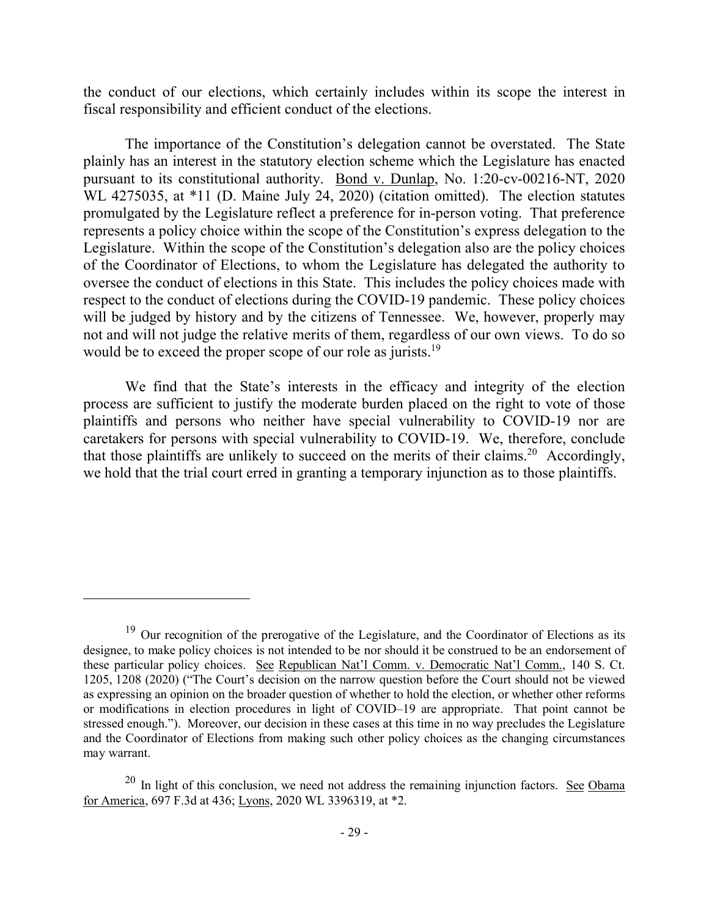the conduct of our elections, which certainly includes within its scope the interest in fiscal responsibility and efficient conduct of the elections.

The importance of the Constitution's delegation cannot be overstated. The State plainly has an interest in the statutory election scheme which the Legislature has enacted pursuant to its constitutional authority. Bond v. Dunlap, No. 1:20-cv-00216-NT, 2020 WL 4275035, at \*11 (D. Maine July 24, 2020) (citation omitted). The election statutes promulgated by the Legislature reflect a preference for in-person voting. That preference represents a policy choice within the scope of the Constitution's express delegation to the Legislature. Within the scope of the Constitution's delegation also are the policy choices of the Coordinator of Elections, to whom the Legislature has delegated the authority to oversee the conduct of elections in this State. This includes the policy choices made with respect to the conduct of elections during the COVID-19 pandemic. These policy choices will be judged by history and by the citizens of Tennessee. We, however, properly may not and will not judge the relative merits of them, regardless of our own views. To do so would be to exceed the proper scope of our role as jurists.<sup>19</sup>

We find that the State's interests in the efficacy and integrity of the election process are sufficient to justify the moderate burden placed on the right to vote of those plaintiffs and persons who neither have special vulnerability to COVID-19 nor are caretakers for persons with special vulnerability to COVID-19. We, therefore, conclude that those plaintiffs are unlikely to succeed on the merits of their claims.<sup>20</sup> Accordingly, we hold that the trial court erred in granting a temporary injunction as to those plaintiffs.

<sup>&</sup>lt;sup>19</sup> Our recognition of the prerogative of the Legislature, and the Coordinator of Elections as its designee, to make policy choices is not intended to be nor should it be construed to be an endorsement of these particular policy choices. See Republican Nat'l Comm. v. Democratic Nat'l Comm., 140 S. Ct. 1205, 1208 (2020) ("The Court's decision on the narrow question before the Court should not be viewed as expressing an opinion on the broader question of whether to hold the election, or whether other reforms or modifications in election procedures in light of COVID–19 are appropriate. That point cannot be stressed enough."). Moreover, our decision in these cases at this time in no way precludes the Legislature and the Coordinator of Elections from making such other policy choices as the changing circumstances may warrant.

 $20$  In light of this conclusion, we need not address the remaining injunction factors. See Obama for America, 697 F.3d at 436; Lyons, 2020 WL 3396319, at \*2.